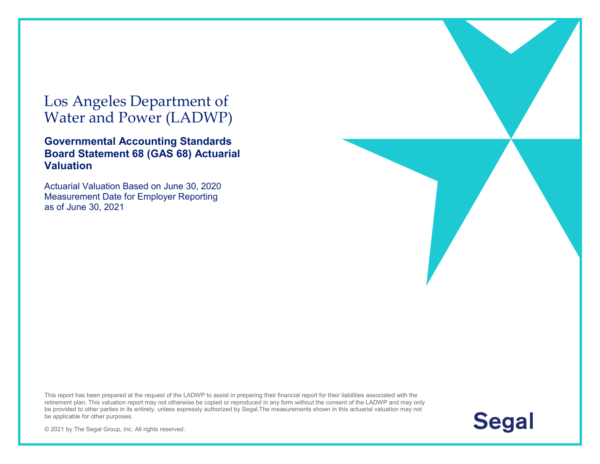## Los Angeles Department of Water and Power (LADWP)

**Governmental Accounting Standards Board Statement 68 (GAS 68) Actuarial Valuation**

Actuarial Valuation Based on June 30, 2020 Measurement Date for Employer Reporting as of June 30, 2021

This report has been prepared at the request of the LADWP to assist in preparing their financial report for their liabilities associated with the retirement plan. This valuation report may not otherwise be copied or reproduced in any form without the consent of the LADWP and may only be provided to other parties in its entirety, unless expressly authorized by Segal.The measurements shown in this actuarial valuation may not be applicable for other purposes.



© 2021 by The Segal Group, Inc. All rights reserved.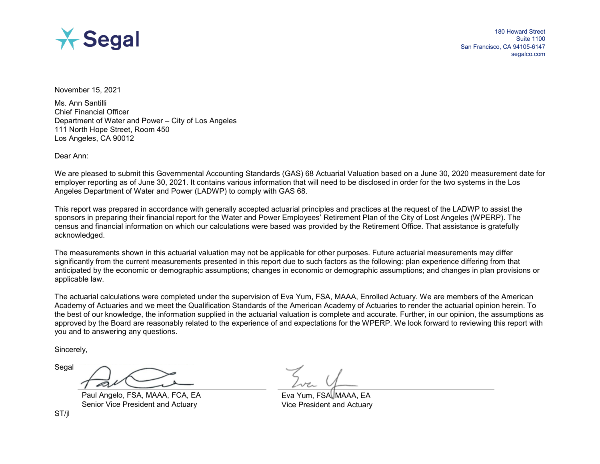

180 Howard Street Suite 1100 San Francisco, CA 94105-6147 segalco.com

November 15, 2021

Ms. Ann Santilli Chief Financial Officer Department of Water and Power – City of Los Angeles 111 North Hope Street, Room 450 Los Angeles, CA 90012

Dear Ann:

We are pleased to submit this Governmental Accounting Standards (GAS) 68 Actuarial Valuation based on a June 30, 2020 measurement date for employer reporting as of June 30, 2021. It contains various information that will need to be disclosed in order for the two systems in the Los Angeles Department of Water and Power (LADWP) to comply with GAS 68.

This report was prepared in accordance with generally accepted actuarial principles and practices at the request of the LADWP to assist the sponsors in preparing their financial report for the Water and Power Employees' Retirement Plan of the City of Lost Angeles (WPERP). The census and financial information on which our calculations were based was provided by the Retirement Office. That assistance is gratefully acknowledged.

The measurements shown in this actuarial valuation may not be applicable for other purposes. Future actuarial measurements may differ significantly from the current measurements presented in this report due to such factors as the following: plan experience differing from that anticipated by the economic or demographic assumptions; changes in economic or demographic assumptions; and changes in plan provisions or applicable law.

The actuarial calculations were completed under the supervision of Eva Yum, FSA, MAAA, Enrolled Actuary. We are members of the American Academy of Actuaries and we meet the Qualification Standards of the American Academy of Actuaries to render the actuarial opinion herein. To the best of our knowledge, the information supplied in the actuarial valuation is complete and accurate. Further, in our opinion, the assumptions as approved by the Board are reasonably related to the experience of and expectations for the WPERP. We look forward to reviewing this report with you and to answering any questions.

Sincerely,

Segal

Paul Angelo, FSA, MAAA, FCA, EA Senior Vice President and Actuary

Eva Yum, FSA, MAAA, EA Vice President and Actuary

ST/jl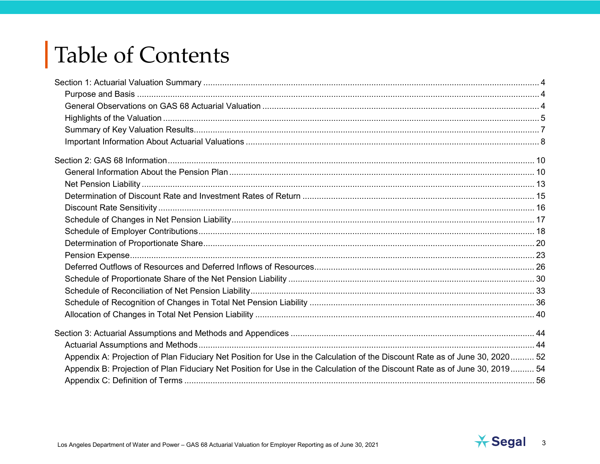# Table of Contents

| Appendix A: Projection of Plan Fiduciary Net Position for Use in the Calculation of the Discount Rate as of June 30, 2020 52 |  |
|------------------------------------------------------------------------------------------------------------------------------|--|
| Appendix B: Projection of Plan Fiduciary Net Position for Use in the Calculation of the Discount Rate as of June 30, 2019 54 |  |
|                                                                                                                              |  |

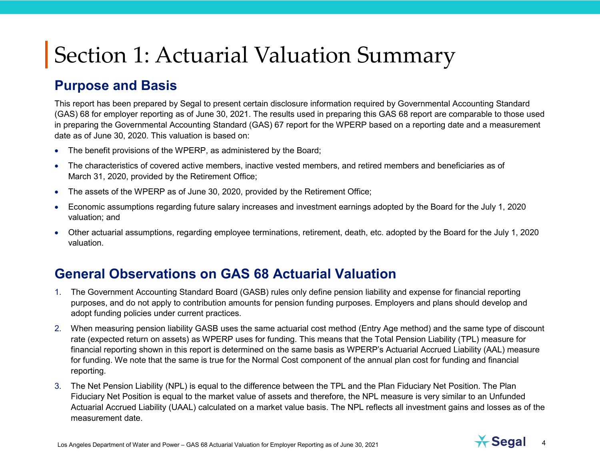#### <span id="page-3-1"></span><span id="page-3-0"></span>**Purpose and Basis**

This report has been prepared by Segal to present certain disclosure information required by Governmental Accounting Standard (GAS) 68 for employer reporting as of June 30, 2021. The results used in preparing this GAS 68 report are comparable to those used in preparing the Governmental Accounting Standard (GAS) 67 report for the WPERP based on a reporting date and a measurement date as of June 30, 2020. This valuation is based on:

- The benefit provisions of the WPERP, as administered by the Board;
- The characteristics of covered active members, inactive vested members, and retired members and beneficiaries as of March 31, 2020, provided by the Retirement Office;
- The assets of the WPERP as of June 30, 2020, provided by the Retirement Office;
- Economic assumptions regarding future salary increases and investment earnings adopted by the Board for the July 1, 2020 valuation; and
- Other actuarial assumptions, regarding employee terminations, retirement, death, etc. adopted by the Board for the July 1, 2020 valuation.

#### <span id="page-3-2"></span>**General Observations on GAS 68 Actuarial Valuation**

- 1. The Government Accounting Standard Board (GASB) rules only define pension liability and expense for financial reporting purposes, and do not apply to contribution amounts for pension funding purposes. Employers and plans should develop and adopt funding policies under current practices.
- 2. When measuring pension liability GASB uses the same actuarial cost method (Entry Age method) and the same type of discount rate (expected return on assets) as WPERP uses for funding. This means that the Total Pension Liability (TPL) measure for financial reporting shown in this report is determined on the same basis as WPERP's Actuarial Accrued Liability (AAL) measure for funding. We note that the same is true for the Normal Cost component of the annual plan cost for funding and financial reporting.
- 3. The Net Pension Liability (NPL) is equal to the difference between the TPL and the Plan Fiduciary Net Position. The Plan Fiduciary Net Position is equal to the market value of assets and therefore, the NPL measure is very similar to an Unfunded Actuarial Accrued Liability (UAAL) calculated on a market value basis. The NPL reflects all investment gains and losses as of the measurement date.

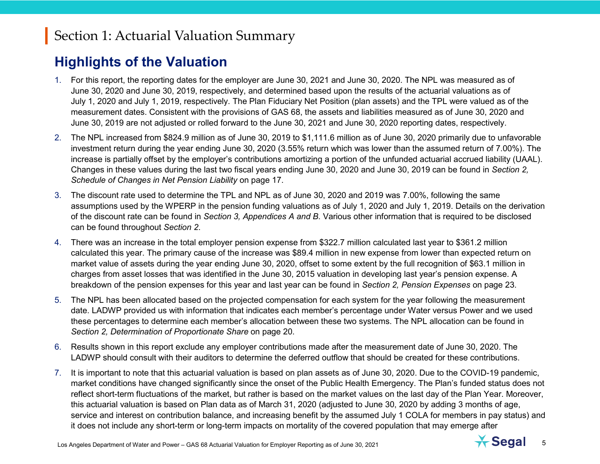#### <span id="page-4-0"></span>**Highlights of the Valuation**

- 1. For this report, the reporting dates for the employer are June 30, 2021 and June 30, 2020. The NPL was measured as of June 30, 2020 and June 30, 2019, respectively, and determined based upon the results of the actuarial valuations as of July 1, 2020 and July 1, 2019, respectively. The Plan Fiduciary Net Position (plan assets) and the TPL were valued as of the measurement dates. Consistent with the provisions of GAS 68, the assets and liabilities measured as of June 30, 2020 and June 30, 2019 are not adjusted or rolled forward to the June 30, 2021 and June 30, 2020 reporting dates, respectively.
- 2. The NPL increased from \$824.9 million as of June 30, 2019 to \$1,111.6 million as of June 30, 2020 primarily due to unfavorable investment return during the year ending June 30, 2020 (3.55% return which was lower than the assumed return of 7.00%). The increase is partially offset by the employer's contributions amortizing a portion of the unfunded actuarial accrued liability (UAAL). Changes in these values during the last two fiscal years ending June 30, 2020 and June 30, 2019 can be found in *Section 2, Schedule of Changes in Net Pension Liability* on page 17.
- 3. The discount rate used to determine the TPL and NPL as of June 30, 2020 and 2019 was 7.00%, following the same assumptions used by the WPERP in the pension funding valuations as of July 1, 2020 and July 1, 2019. Details on the derivation of the discount rate can be found in *Section 3, Appendices A and B*. Various other information that is required to be disclosed can be found throughout *Section 2*.
- 4. There was an increase in the total employer pension expense from \$322.7 million calculated last year to \$361.2 million calculated this year. The primary cause of the increase was \$89.4 million in new expense from lower than expected return on market value of assets during the year ending June 30, 2020, offset to some extent by the full recognition of \$63.1 million in charges from asset losses that was identified in the June 30, 2015 valuation in developing last year's pension expense. A breakdown of the pension expenses for this year and last year can be found in *Section 2, Pension Expenses* on page 23.
- 5. The NPL has been allocated based on the projected compensation for each system for the year following the measurement date. LADWP provided us with information that indicates each member's percentage under Water versus Power and we used these percentages to determine each member's allocation between these two systems. The NPL allocation can be found in *Section 2, Determination of Proportionate Share* on page 20.
- 6. Results shown in this report exclude any employer contributions made after the measurement date of June 30, 2020. The LADWP should consult with their auditors to determine the deferred outflow that should be created for these contributions.
- 7. It is important to note that this actuarial valuation is based on plan assets as of June 30, 2020. Due to the COVID-19 pandemic, market conditions have changed significantly since the onset of the Public Health Emergency. The Plan's funded status does not reflect short-term fluctuations of the market, but rather is based on the market values on the last day of the Plan Year. Moreover, this actuarial valuation is based on Plan data as of March 31, 2020 (adjusted to June 30, 2020 by adding 3 months of age, service and interest on contribution balance, and increasing benefit by the assumed July 1 COLA for members in pay status) and it does not include any short-term or long-term impacts on mortality of the covered population that may emerge after

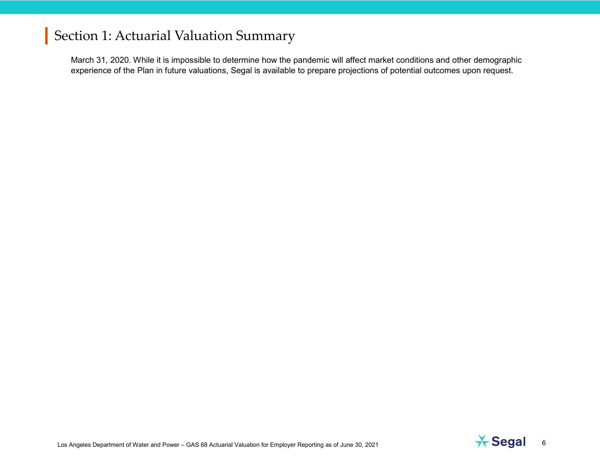March 31, 2020. While it is impossible to determine how the pandemic will affect market conditions and other demographic experience of the Plan in future valuations, Segal is available to prepare projections of potential outcomes upon request.

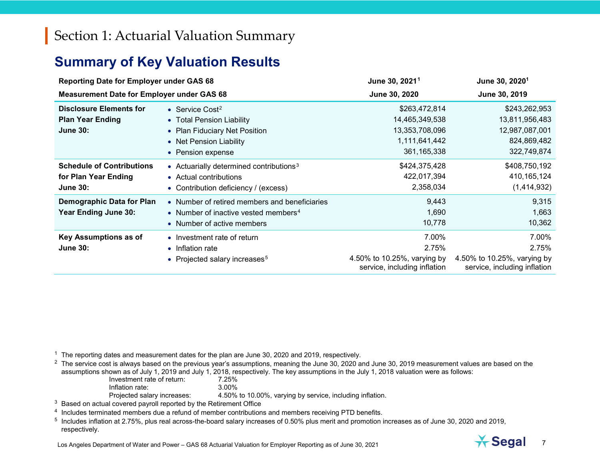#### <span id="page-6-5"></span><span id="page-6-4"></span><span id="page-6-3"></span><span id="page-6-2"></span><span id="page-6-1"></span><span id="page-6-0"></span>**Summary of Key Valuation Results**

| <b>Reporting Date for Employer under GAS 68</b>   |                                                            | June 30, 2021 <sup>1</sup>                                  | June 30, 2020 <sup>1</sup>                                  |  |
|---------------------------------------------------|------------------------------------------------------------|-------------------------------------------------------------|-------------------------------------------------------------|--|
| <b>Measurement Date for Employer under GAS 68</b> |                                                            | <b>June 30, 2020</b>                                        | June 30, 2019                                               |  |
| <b>Disclosure Elements for</b>                    | • Service Cost <sup>2</sup>                                | \$263,472,814                                               | \$243,262,953                                               |  |
| <b>Plan Year Ending</b><br><b>June 30:</b>        | • Total Pension Liability<br>• Plan Fiduciary Net Position | 14,465,349,538<br>13,353,708,096                            | 13,811,956,483<br>12,987,087,001                            |  |
|                                                   | • Net Pension Liability                                    | 1,111,641,442                                               | 824,869,482                                                 |  |
|                                                   | • Pension expense                                          | 361, 165, 338                                               | 322,749,874                                                 |  |
| <b>Schedule of Contributions</b>                  | • Actuarially determined contributions <sup>3</sup>        | \$424,375,428                                               | \$408,750,192                                               |  |
| for Plan Year Ending                              | • Actual contributions                                     | 422,017,394                                                 | 410, 165, 124                                               |  |
| <b>June 30:</b>                                   | • Contribution deficiency / (excess)                       | 2,358,034                                                   | (1,414,932)                                                 |  |
| <b>Demographic Data for Plan</b>                  | • Number of retired members and beneficiaries              | 9,443                                                       | 9,315                                                       |  |
| Year Ending June 30:                              | • Number of inactive vested members <sup>4</sup>           | 1,690                                                       | 1,663                                                       |  |
|                                                   | • Number of active members                                 | 10,778                                                      | 10,362                                                      |  |
| Key Assumptions as of                             | • Investment rate of return                                | 7.00%                                                       | 7.00%                                                       |  |
| <b>June 30:</b>                                   | • Inflation rate                                           | 2.75%                                                       | 2.75%                                                       |  |
|                                                   | • Projected salary increases <sup>5</sup>                  | 4.50% to 10.25%, varying by<br>service, including inflation | 4.50% to 10.25%, varying by<br>service, including inflation |  |

<sup>1</sup> The reporting dates and measurement dates for the plan are June 30, 2020 and 2019, respectively.

<sup>2</sup> The service cost is always based on the previous year's assumptions, meaning the June 30, 2020 and June 30, 2019 measurement values are based on the assumptions shown as of July 1, 2019 and July 1, 2018, respectively. The key assumptions in the July 1, 2018 valuation were as follows:

| Investment rate of return: | 7.25% |
|----------------------------|-------|
| Inflation rate:            | 3.00% |

Projected salary increases: 4.50% to 10.00%, varying by service, including inflation.

<sup>3</sup> Based on actual covered payroll reported by the Retirement Office

<sup>4</sup> Includes terminated members due a refund of member contributions and members receiving PTD benefits.

<sup>5</sup> Includes inflation at 2.75%, plus real across-the-board salary increases of 0.50% plus merit and promotion increases as of June 30, 2020 and 2019, respectively.

Los Angeles Department of Water and Power – GAS 68 Actuarial Valuation for Employer Reporting as of June 30, 2021 7

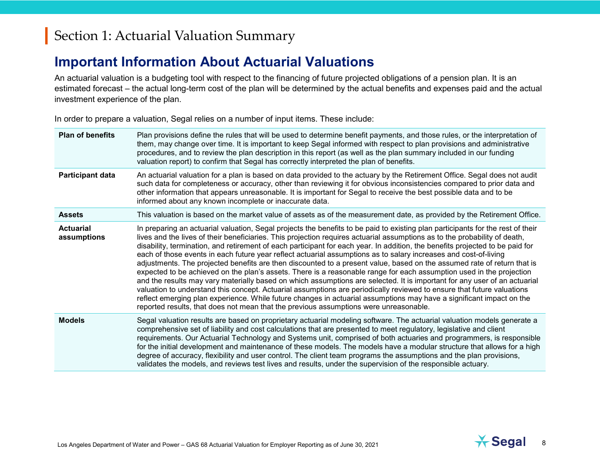#### <span id="page-7-0"></span>**Important Information About Actuarial Valuations**

An actuarial valuation is a budgeting tool with respect to the financing of future projected obligations of a pension plan. It is an estimated forecast – the actual long-term cost of the plan will be determined by the actual benefits and expenses paid and the actual investment experience of the plan.

In order to prepare a valuation, Segal relies on a number of input items. These include:

| <b>Plan of benefits</b>         | Plan provisions define the rules that will be used to determine benefit payments, and those rules, or the interpretation of<br>them, may change over time. It is important to keep Segal informed with respect to plan provisions and administrative<br>procedures, and to review the plan description in this report (as well as the plan summary included in our funding<br>valuation report) to confirm that Segal has correctly interpreted the plan of benefits.                                                                                                                                                                                                                                                                                                                                                                                                                                                                                                                                                                                                                                                                                                                                                                         |
|---------------------------------|-----------------------------------------------------------------------------------------------------------------------------------------------------------------------------------------------------------------------------------------------------------------------------------------------------------------------------------------------------------------------------------------------------------------------------------------------------------------------------------------------------------------------------------------------------------------------------------------------------------------------------------------------------------------------------------------------------------------------------------------------------------------------------------------------------------------------------------------------------------------------------------------------------------------------------------------------------------------------------------------------------------------------------------------------------------------------------------------------------------------------------------------------------------------------------------------------------------------------------------------------|
| Participant data                | An actuarial valuation for a plan is based on data provided to the actuary by the Retirement Office. Segal does not audit<br>such data for completeness or accuracy, other than reviewing it for obvious inconsistencies compared to prior data and<br>other information that appears unreasonable. It is important for Segal to receive the best possible data and to be<br>informed about any known incomplete or inaccurate data.                                                                                                                                                                                                                                                                                                                                                                                                                                                                                                                                                                                                                                                                                                                                                                                                          |
| <b>Assets</b>                   | This valuation is based on the market value of assets as of the measurement date, as provided by the Retirement Office.                                                                                                                                                                                                                                                                                                                                                                                                                                                                                                                                                                                                                                                                                                                                                                                                                                                                                                                                                                                                                                                                                                                       |
| <b>Actuarial</b><br>assumptions | In preparing an actuarial valuation, Segal projects the benefits to be paid to existing plan participants for the rest of their<br>lives and the lives of their beneficiaries. This projection requires actuarial assumptions as to the probability of death,<br>disability, termination, and retirement of each participant for each year. In addition, the benefits projected to be paid for<br>each of those events in each future year reflect actuarial assumptions as to salary increases and cost-of-living<br>adjustments. The projected benefits are then discounted to a present value, based on the assumed rate of return that is<br>expected to be achieved on the plan's assets. There is a reasonable range for each assumption used in the projection<br>and the results may vary materially based on which assumptions are selected. It is important for any user of an actuarial<br>valuation to understand this concept. Actuarial assumptions are periodically reviewed to ensure that future valuations<br>reflect emerging plan experience. While future changes in actuarial assumptions may have a significant impact on the<br>reported results, that does not mean that the previous assumptions were unreasonable. |
| <b>Models</b>                   | Segal valuation results are based on proprietary actuarial modeling software. The actuarial valuation models generate a<br>comprehensive set of liability and cost calculations that are presented to meet regulatory, legislative and client<br>requirements. Our Actuarial Technology and Systems unit, comprised of both actuaries and programmers, is responsible<br>for the initial development and maintenance of these models. The models have a modular structure that allows for a high<br>degree of accuracy, flexibility and user control. The client team programs the assumptions and the plan provisions,<br>validates the models, and reviews test lives and results, under the supervision of the responsible actuary.                                                                                                                                                                                                                                                                                                                                                                                                                                                                                                        |

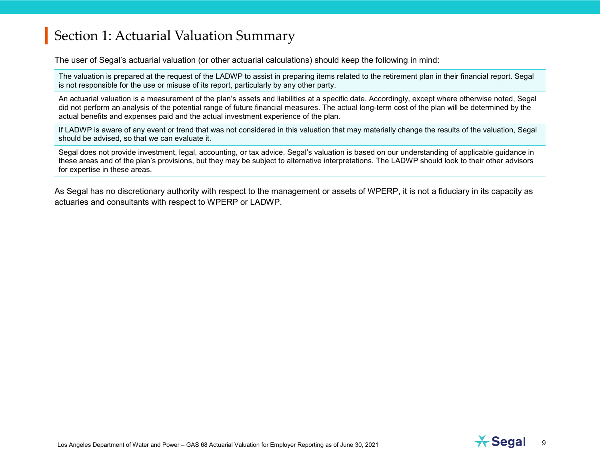The user of Segal's actuarial valuation (or other actuarial calculations) should keep the following in mind:

The valuation is prepared at the request of the LADWP to assist in preparing items related to the retirement plan in their financial report. Segal is not responsible for the use or misuse of its report, particularly by any other party.

An actuarial valuation is a measurement of the plan's assets and liabilities at a specific date. Accordingly, except where otherwise noted, Segal did not perform an analysis of the potential range of future financial measures. The actual long-term cost of the plan will be determined by the actual benefits and expenses paid and the actual investment experience of the plan.

If LADWP is aware of any event or trend that was not considered in this valuation that may materially change the results of the valuation, Segal should be advised, so that we can evaluate it.

Segal does not provide investment, legal, accounting, or tax advice. Segal's valuation is based on our understanding of applicable guidance in these areas and of the plan's provisions, but they may be subject to alternative interpretations. The LADWP should look to their other advisors for expertise in these areas.

As Segal has no discretionary authority with respect to the management or assets of WPERP, it is not a fiduciary in its capacity as actuaries and consultants with respect to WPERP or LADWP.

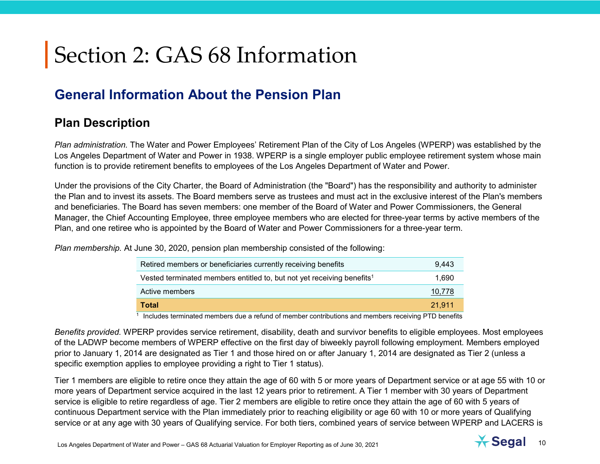## <span id="page-9-1"></span><span id="page-9-0"></span>**General Information About the Pension Plan**

#### **Plan Description**

*Plan administration.* The Water and Power Employees' Retirement Plan of the City of Los Angeles (WPERP) was established by the Los Angeles Department of Water and Power in 1938. WPERP is a single employer public employee retirement system whose main function is to provide retirement benefits to employees of the Los Angeles Department of Water and Power.

Under the provisions of the City Charter, the Board of Administration (the "Board") has the responsibility and authority to administer the Plan and to invest its assets. The Board members serve as trustees and must act in the exclusive interest of the Plan's members and beneficiaries. The Board has seven members: one member of the Board of Water and Power Commissioners, the General Manager, the Chief Accounting Employee, three employee members who are elected for three-year terms by active members of the Plan, and one retiree who is appointed by the Board of Water and Power Commissioners for a three-year term.

*Plan membership.* At June 30, 2020, pension plan membership consisted of the following:

| Retired members or beneficiaries currently receiving benefits                      | 9.443  |
|------------------------------------------------------------------------------------|--------|
| Vested terminated members entitled to, but not yet receiving benefits <sup>1</sup> | 1.690  |
| Active members                                                                     | 10,778 |
| Total                                                                              | 21.911 |

 $<sup>1</sup>$  Includes terminated members due a refund of member contributions and members receiving PTD benefits</sup>

*Benefits provided.* WPERP provides service retirement, disability, death and survivor benefits to eligible employees. Most employees of the LADWP become members of WPERP effective on the first day of biweekly payroll following employment. Members employed prior to January 1, 2014 are designated as Tier 1 and those hired on or after January 1, 2014 are designated as Tier 2 (unless a specific exemption applies to employee providing a right to Tier 1 status).

Tier 1 members are eligible to retire once they attain the age of 60 with 5 or more years of Department service or at age 55 with 10 or more years of Department service acquired in the last 12 years prior to retirement. A Tier 1 member with 30 years of Department service is eligible to retire regardless of age. Tier 2 members are eligible to retire once they attain the age of 60 with 5 years of continuous Department service with the Plan immediately prior to reaching eligibility or age 60 with 10 or more years of Qualifying service or at any age with 30 years of Qualifying service. For both tiers, combined years of service between WPERP and LACERS is

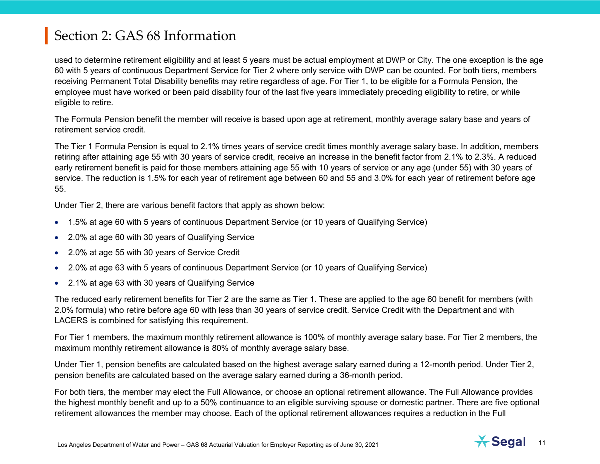used to determine retirement eligibility and at least 5 years must be actual employment at DWP or City. The one exception is the age 60 with 5 years of continuous Department Service for Tier 2 where only service with DWP can be counted. For both tiers, members receiving Permanent Total Disability benefits may retire regardless of age. For Tier 1, to be eligible for a Formula Pension, the employee must have worked or been paid disability four of the last five years immediately preceding eligibility to retire, or while eligible to retire.

The Formula Pension benefit the member will receive is based upon age at retirement, monthly average salary base and years of retirement service credit.

The Tier 1 Formula Pension is equal to 2.1% times years of service credit times monthly average salary base. In addition, members retiring after attaining age 55 with 30 years of service credit, receive an increase in the benefit factor from 2.1% to 2.3%. A reduced early retirement benefit is paid for those members attaining age 55 with 10 years of service or any age (under 55) with 30 years of service. The reduction is 1.5% for each year of retirement age between 60 and 55 and 3.0% for each year of retirement before age 55.

Under Tier 2, there are various benefit factors that apply as shown below:

- 1.5% at age 60 with 5 years of continuous Department Service (or 10 years of Qualifying Service)
- 2.0% at age 60 with 30 years of Qualifying Service
- 2.0% at age 55 with 30 years of Service Credit
- 2.0% at age 63 with 5 years of continuous Department Service (or 10 years of Qualifying Service)
- 2.1% at age 63 with 30 years of Qualifying Service

The reduced early retirement benefits for Tier 2 are the same as Tier 1. These are applied to the age 60 benefit for members (with 2.0% formula) who retire before age 60 with less than 30 years of service credit. Service Credit with the Department and with LACERS is combined for satisfying this requirement.

For Tier 1 members, the maximum monthly retirement allowance is 100% of monthly average salary base. For Tier 2 members, the maximum monthly retirement allowance is 80% of monthly average salary base.

Under Tier 1, pension benefits are calculated based on the highest average salary earned during a 12-month period. Under Tier 2, pension benefits are calculated based on the average salary earned during a 36-month period.

For both tiers, the member may elect the Full Allowance, or choose an optional retirement allowance. The Full Allowance provides the highest monthly benefit and up to a 50% continuance to an eligible surviving spouse or domestic partner. There are five optional retirement allowances the member may choose. Each of the optional retirement allowances requires a reduction in the Full

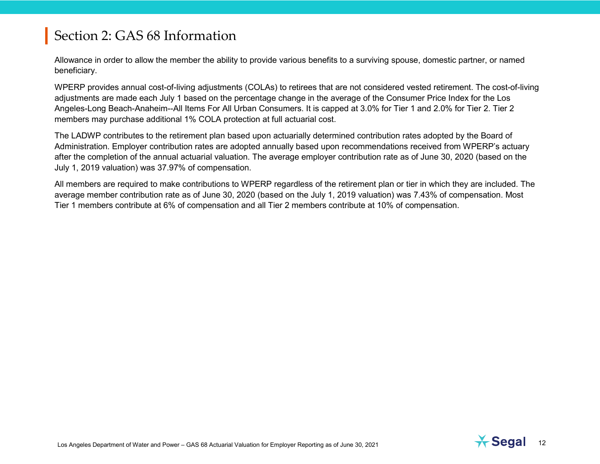Allowance in order to allow the member the ability to provide various benefits to a surviving spouse, domestic partner, or named beneficiary.

WPERP provides annual cost-of-living adjustments (COLAs) to retirees that are not considered vested retirement. The cost-of-living adjustments are made each July 1 based on the percentage change in the average of the Consumer Price Index for the Los Angeles-Long Beach-Anaheim--All Items For All Urban Consumers. It is capped at 3.0% for Tier 1 and 2.0% for Tier 2. Tier 2 members may purchase additional 1% COLA protection at full actuarial cost.

The LADWP contributes to the retirement plan based upon actuarially determined contribution rates adopted by the Board of Administration. Employer contribution rates are adopted annually based upon recommendations received from WPERP's actuary after the completion of the annual actuarial valuation. The average employer contribution rate as of June 30, 2020 (based on the July 1, 2019 valuation) was 37.97% of compensation.

All members are required to make contributions to WPERP regardless of the retirement plan or tier in which they are included. The average member contribution rate as of June 30, 2020 (based on the July 1, 2019 valuation) was 7.43% of compensation. Most Tier 1 members contribute at 6% of compensation and all Tier 2 members contribute at 10% of compensation.

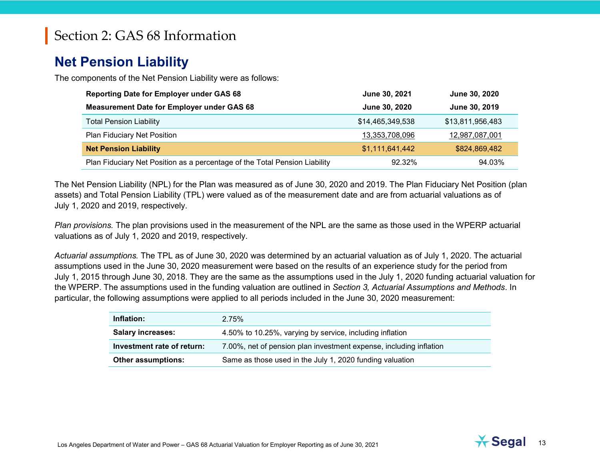#### <span id="page-12-0"></span>**Net Pension Liability**

The components of the Net Pension Liability were as follows:

| <b>Reporting Date for Employer under GAS 68</b>                            | June 30, 2021    | June 30, 2020    |
|----------------------------------------------------------------------------|------------------|------------------|
| <b>Measurement Date for Employer under GAS 68</b>                          | June 30, 2020    | June 30, 2019    |
| <b>Total Pension Liability</b>                                             | \$14,465,349,538 | \$13,811,956,483 |
| Plan Fiduciary Net Position                                                | 13,353,708,096   | 12,987,087,001   |
| <b>Net Pension Liability</b>                                               | \$1,111,641,442  | \$824,869,482    |
| Plan Fiduciary Net Position as a percentage of the Total Pension Liability | 92.32%           | 94.03%           |

The Net Pension Liability (NPL) for the Plan was measured as of June 30, 2020 and 2019. The Plan Fiduciary Net Position (plan assets) and Total Pension Liability (TPL) were valued as of the measurement date and are from actuarial valuations as of July 1, 2020 and 2019, respectively.

*Plan provisions.* The plan provisions used in the measurement of the NPL are the same as those used in the WPERP actuarial valuations as of July 1, 2020 and 2019, respectively.

*Actuarial assumptions.* The TPL as of June 30, 2020 was determined by an actuarial valuation as of July 1, 2020. The actuarial assumptions used in the June 30, 2020 measurement were based on the results of an experience study for the period from July 1, 2015 through June 30, 2018. They are the same as the assumptions used in the July 1, 2020 funding actuarial valuation for the WPERP. The assumptions used in the funding valuation are outlined in *Section 3, Actuarial Assumptions and Methods*. In particular, the following assumptions were applied to all periods included in the June 30, 2020 measurement:

| Inflation:                 | 2.75%                                                              |
|----------------------------|--------------------------------------------------------------------|
| <b>Salary increases:</b>   | 4.50% to 10.25%, varying by service, including inflation           |
| Investment rate of return: | 7.00%, net of pension plan investment expense, including inflation |
| Other assumptions:         | Same as those used in the July 1, 2020 funding valuation           |

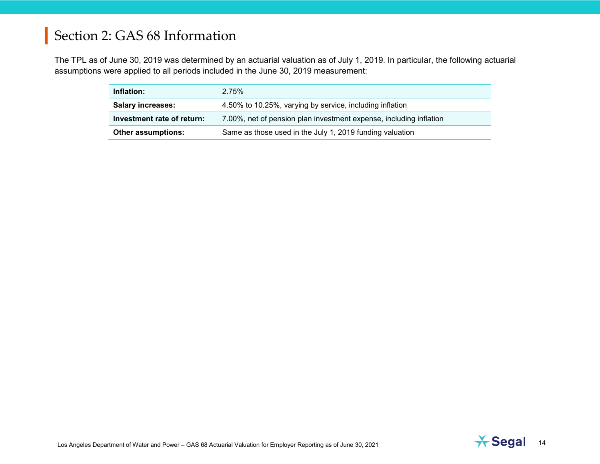The TPL as of June 30, 2019 was determined by an actuarial valuation as of July 1, 2019. In particular, the following actuarial assumptions were applied to all periods included in the June 30, 2019 measurement:

| Inflation:                 | 2.75%                                                              |
|----------------------------|--------------------------------------------------------------------|
| <b>Salary increases:</b>   | 4.50% to 10.25%, varying by service, including inflation           |
| Investment rate of return: | 7.00%, net of pension plan investment expense, including inflation |
| <b>Other assumptions:</b>  | Same as those used in the July 1, 2019 funding valuation           |

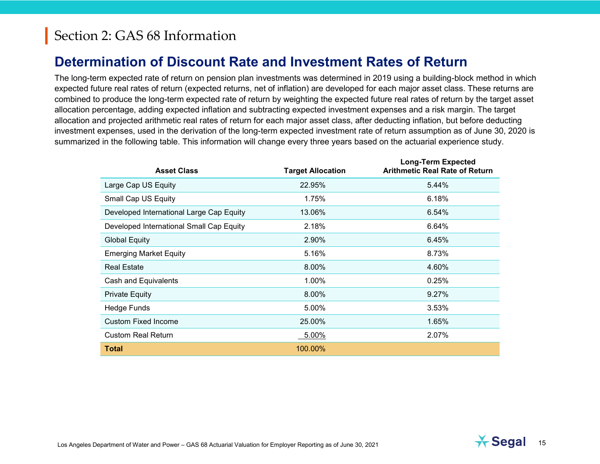#### <span id="page-14-0"></span>**Determination of Discount Rate and Investment Rates of Return**

The long-term expected rate of return on pension plan investments was determined in 2019 using a building-block method in which expected future real rates of return (expected returns, net of inflation) are developed for each major asset class. These returns are combined to produce the long-term expected rate of return by weighting the expected future real rates of return by the target asset allocation percentage, adding expected inflation and subtracting expected investment expenses and a risk margin. The target allocation and projected arithmetic real rates of return for each major asset class, after deducting inflation, but before deducting investment expenses, used in the derivation of the long-term expected investment rate of return assumption as of June 30, 2020 is summarized in the following table. This information will change every three years based on the actuarial experience study.

| <b>Asset Class</b>                       | <b>Target Allocation</b> | <b>Long-Term Expected</b><br><b>Arithmetic Real Rate of Return</b> |
|------------------------------------------|--------------------------|--------------------------------------------------------------------|
| Large Cap US Equity                      | 22.95%                   | 5.44%                                                              |
| Small Cap US Equity                      | 1.75%                    | 6.18%                                                              |
| Developed International Large Cap Equity | 13.06%                   | 6.54%                                                              |
| Developed International Small Cap Equity | 2.18%                    | 6.64%                                                              |
| <b>Global Equity</b>                     | 2.90%                    | 6.45%                                                              |
| <b>Emerging Market Equity</b>            | 5.16%                    | 8.73%                                                              |
| <b>Real Estate</b>                       | 8.00%                    | 4.60%                                                              |
| Cash and Equivalents                     | 1.00%                    | 0.25%                                                              |
| <b>Private Equity</b>                    | 8.00%                    | 9.27%                                                              |
| Hedge Funds                              | 5.00%                    | 3.53%                                                              |
| <b>Custom Fixed Income</b>               | 25.00%                   | 1.65%                                                              |
| <b>Custom Real Return</b>                | 5.00%                    | 2.07%                                                              |
| <b>Total</b>                             | 100.00%                  |                                                                    |

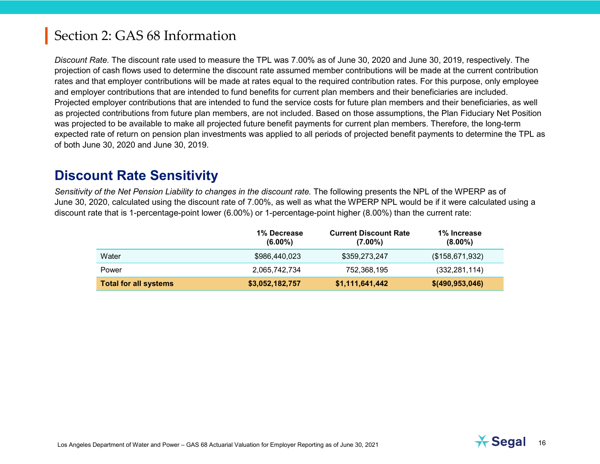*Discount Rate.* The discount rate used to measure the TPL was 7.00% as of June 30, 2020 and June 30, 2019, respectively. The projection of cash flows used to determine the discount rate assumed member contributions will be made at the current contribution rates and that employer contributions will be made at rates equal to the required contribution rates. For this purpose, only employee and employer contributions that are intended to fund benefits for current plan members and their beneficiaries are included. Projected employer contributions that are intended to fund the service costs for future plan members and their beneficiaries, as well as projected contributions from future plan members, are not included. Based on those assumptions, the Plan Fiduciary Net Position was projected to be available to make all projected future benefit payments for current plan members. Therefore, the long-term expected rate of return on pension plan investments was applied to all periods of projected benefit payments to determine the TPL as of both June 30, 2020 and June 30, 2019.

#### <span id="page-15-0"></span>**Discount Rate Sensitivity**

*Sensitivity of the Net Pension Liability to changes in the discount rate.* The following presents the NPL of the WPERP as of June 30, 2020, calculated using the discount rate of 7.00%, as well as what the WPERP NPL would be if it were calculated using a discount rate that is 1-percentage-point lower (6.00%) or 1-percentage-point higher (8.00%) than the current rate:

|                              | 1% Decrease<br>$(6.00\%)$ | <b>Current Discount Rate</b><br>$(7.00\%)$ | 1% Increase<br>$(8.00\%)$ |
|------------------------------|---------------------------|--------------------------------------------|---------------------------|
| Water                        | \$986,440,023             | \$359.273.247                              | (\$158,671,932)           |
| Power                        | 2.065.742.734             | 752,368,195                                | (332, 281, 114)           |
| <b>Total for all systems</b> | \$3,052,182,757           | \$1,111,641,442                            | \$(490, 953, 046)         |

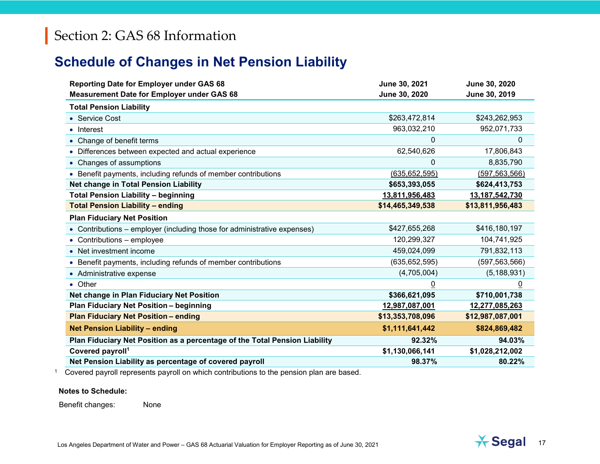#### <span id="page-16-0"></span>**Schedule of Changes in Net Pension Liability**

| <b>Reporting Date for Employer under GAS 68</b><br><b>Measurement Date for Employer under GAS 68</b> | June 30, 2021<br>June 30, 2020 | June 30, 2020<br>June 30, 2019 |
|------------------------------------------------------------------------------------------------------|--------------------------------|--------------------------------|
| <b>Total Pension Liability</b>                                                                       |                                |                                |
| • Service Cost                                                                                       | \$263,472,814                  | \$243,262,953                  |
| $\bullet$ Interest                                                                                   | 963,032,210                    | 952,071,733                    |
| • Change of benefit terms                                                                            | 0                              | 0                              |
| • Differences between expected and actual experience                                                 | 62,540,626                     | 17,806,843                     |
| • Changes of assumptions                                                                             | 0                              | 8,835,790                      |
| • Benefit payments, including refunds of member contributions                                        | (635, 652, 595)                | (597, 563, 566)                |
| Net change in Total Pension Liability                                                                | \$653,393,055                  | \$624,413,753                  |
| <b>Total Pension Liability - beginning</b>                                                           | 13,811,956,483                 | 13,187,542,730                 |
| <b>Total Pension Liability - ending</b>                                                              | \$14,465,349,538               | \$13,811,956,483               |
| <b>Plan Fiduciary Net Position</b>                                                                   |                                |                                |
| • Contributions – employer (including those for administrative expenses)                             | \$427,655,268                  | \$416,180,197                  |
| • Contributions $-$ employee                                                                         | 120,299,327                    | 104,741,925                    |
| • Net investment income                                                                              | 459,024,099                    | 791,832,113                    |
| • Benefit payments, including refunds of member contributions                                        | (635, 652, 595)                | (597, 563, 566)                |
| • Administrative expense                                                                             | (4,705,004)                    | (5, 188, 931)                  |
| • Other                                                                                              | $\overline{0}$                 | $\overline{0}$                 |
| Net change in Plan Fiduciary Net Position                                                            | \$366,621,095                  | \$710,001,738                  |
| Plan Fiduciary Net Position - beginning                                                              | 12,987,087,001                 | 12,277,085,263                 |
| <b>Plan Fiduciary Net Position - ending</b>                                                          | \$13,353,708,096               | \$12,987,087,001               |
| <b>Net Pension Liability - ending</b>                                                                | \$1,111,641,442                | \$824,869,482                  |
| Plan Fiduciary Net Position as a percentage of the Total Pension Liability                           | 92.32%                         | 94.03%                         |
| Covered payroll <sup>1</sup>                                                                         | \$1,130,066,141                | \$1,028,212,002                |
| Net Pension Liability as percentage of covered payroll                                               | 98.37%                         | 80.22%                         |

<sup>1</sup> Covered payroll represents payroll on which contributions to the pension plan are based.

#### **Notes to Schedule:**

Benefit changes: None

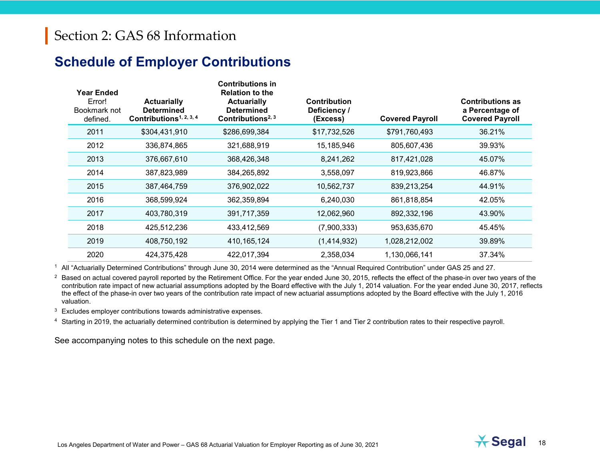#### <span id="page-17-0"></span>**Schedule of Employer Contributions**

| Year Ended<br>Error!<br>Bookmark not<br>defined. | <b>Actuarially</b><br><b>Determined</b><br>Contributions <sup>1, 2, 3, 4</sup> | <b>Contributions in</b><br><b>Relation to the</b><br><b>Actuarially</b><br><b>Determined</b><br>Contributions <sup>2, 3</sup> | <b>Contribution</b><br>Deficiency /<br>(Excess) | <b>Covered Payroll</b> | <b>Contributions as</b><br>a Percentage of<br><b>Covered Payroll</b> |
|--------------------------------------------------|--------------------------------------------------------------------------------|-------------------------------------------------------------------------------------------------------------------------------|-------------------------------------------------|------------------------|----------------------------------------------------------------------|
| 2011                                             | \$304,431,910                                                                  | \$286,699,384                                                                                                                 | \$17,732,526                                    | \$791,760,493          | 36.21%                                                               |
| 2012                                             | 336,874,865                                                                    | 321,688,919                                                                                                                   | 15,185,946                                      | 805,607,436            | 39.93%                                                               |
| 2013                                             | 376,667,610                                                                    | 368,426,348                                                                                                                   | 8,241,262                                       | 817,421,028            | 45.07%                                                               |
| 2014                                             | 387,823,989                                                                    | 384,265,892                                                                                                                   | 3,558,097                                       | 819,923,866            | 46.87%                                                               |
| 2015                                             | 387,464,759                                                                    | 376,902,022                                                                                                                   | 10,562,737                                      | 839,213,254            | 44.91%                                                               |
| 2016                                             | 368,599,924                                                                    | 362,359,894                                                                                                                   | 6,240,030                                       | 861,818,854            | 42.05%                                                               |
| 2017                                             | 403,780,319                                                                    | 391,717,359                                                                                                                   | 12,062,960                                      | 892,332,196            | 43.90%                                                               |
| 2018                                             | 425,512,236                                                                    | 433,412,569                                                                                                                   | (7,900,333)                                     | 953,635,670            | 45.45%                                                               |
| 2019                                             | 408,750,192                                                                    | 410, 165, 124                                                                                                                 | (1,414,932)                                     | 1,028,212,002          | 39.89%                                                               |
| 2020                                             | 424,375,428                                                                    | 422,017,394                                                                                                                   | 2,358,034                                       | 1,130,066,141          | 37.34%                                                               |

<sup>1</sup> All "Actuarially Determined Contributions" through June 30, 2014 were determined as the "Annual Required Contribution" under GAS 25 and 27.

<sup>2</sup> Based on actual covered payroll reported by the Retirement Office. For the year ended June 30, 2015, reflects the effect of the phase-in over two years of the contribution rate impact of new actuarial assumptions adopted by the Board effective with the July 1, 2014 valuation. For the year ended June 30, 2017, reflects the effect of the phase-in over two years of the contribution rate impact of new actuarial assumptions adopted by the Board effective with the July 1, 2016 valuation.

 $3$  Excludes employer contributions towards administrative expenses.

<sup>4</sup> Starting in 2019, the actuarially determined contribution is determined by applying the Tier 1 and Tier 2 contribution rates to their respective payroll.

See accompanying notes to this schedule on the next page.

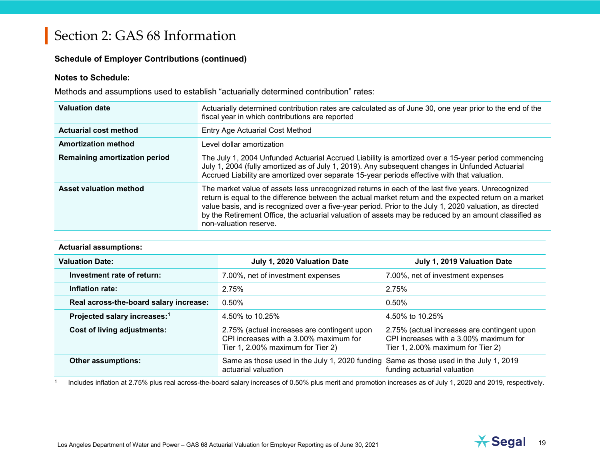#### **Schedule of Employer Contributions (continued)**

#### **Notes to Schedule:**

Methods and assumptions used to establish "actuarially determined contribution" rates:

| <b>Valuation date</b>                | Actuarially determined contribution rates are calculated as of June 30, one year prior to the end of the<br>fiscal year in which contributions are reported                                                                                                                                                                                                                                                                                                |
|--------------------------------------|------------------------------------------------------------------------------------------------------------------------------------------------------------------------------------------------------------------------------------------------------------------------------------------------------------------------------------------------------------------------------------------------------------------------------------------------------------|
| Actuarial cost method                | <b>Entry Age Actuarial Cost Method</b>                                                                                                                                                                                                                                                                                                                                                                                                                     |
| Amortization method                  | Level dollar amortization                                                                                                                                                                                                                                                                                                                                                                                                                                  |
| <b>Remaining amortization period</b> | The July 1, 2004 Unfunded Actuarial Accrued Liability is amortized over a 15-year period commencing<br>July 1, 2004 (fully amortized as of July 1, 2019). Any subsequent changes in Unfunded Actuarial<br>Accrued Liability are amortized over separate 15-year periods effective with that valuation.                                                                                                                                                     |
| Asset valuation method               | The market value of assets less unrecognized returns in each of the last five years. Unrecognized<br>return is equal to the difference between the actual market return and the expected return on a market<br>value basis, and is recognized over a five-year period. Prior to the July 1, 2020 valuation, as directed<br>by the Retirement Office, the actuarial valuation of assets may be reduced by an amount classified as<br>non-valuation reserve. |

#### **Actuarial assumptions:**

| <b>Valuation Date:</b>                   | July 1, 2020 Valuation Date                                                                                                | July 1, 2019 Valuation Date                                                                                                |  |
|------------------------------------------|----------------------------------------------------------------------------------------------------------------------------|----------------------------------------------------------------------------------------------------------------------------|--|
| Investment rate of return:               | 7.00%, net of investment expenses                                                                                          | 7.00%, net of investment expenses                                                                                          |  |
| Inflation rate:                          | 2.75%                                                                                                                      | 2.75%                                                                                                                      |  |
| Real across-the-board salary increase:   | $0.50\%$                                                                                                                   | $0.50\%$                                                                                                                   |  |
| Projected salary increases: <sup>1</sup> | 4.50% to 10.25%                                                                                                            | 4.50% to 10.25%                                                                                                            |  |
| Cost of living adjustments:              | 2.75% (actual increases are contingent upon<br>CPI increases with a 3,00% maximum for<br>Tier 1, 2.00% maximum for Tier 2) | 2.75% (actual increases are contingent upon<br>CPI increases with a 3,00% maximum for<br>Tier 1, 2.00% maximum for Tier 2) |  |
| <b>Other assumptions:</b>                | Same as those used in the July 1, 2020 funding<br>actuarial valuation                                                      | Same as those used in the July 1, 2019<br>funding actuarial valuation                                                      |  |

<sup>1</sup> Includes inflation at 2.75% plus real across-the-board salary increases of 0.50% plus merit and promotion increases as of July 1, 2020 and 2019, respectively.

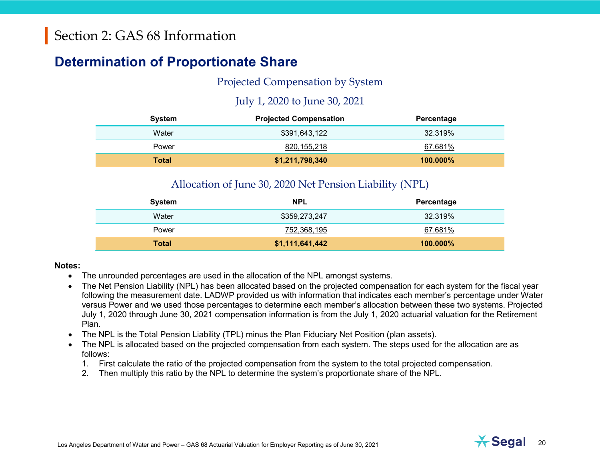#### <span id="page-19-0"></span>**Determination of Proportionate Share**

#### Projected Compensation by System

#### July 1, 2020 to June 30, 2021

| System | <b>Projected Compensation</b> | Percentage  |
|--------|-------------------------------|-------------|
| Water  | \$391,643,122                 | 32.319%     |
| Power  | 820,155,218                   | 67.681%     |
| Total  | \$1,211,798,340               | $100.000\%$ |

#### Allocation of June 30, 2020 Net Pension Liability (NPL)

| System | <b>NPL</b>      | Percentage |
|--------|-----------------|------------|
| Water  | \$359,273,247   | 32.319%    |
| Power  | 752,368,195     | 67.681%    |
| Total  | \$1,111,641,442 | 100.000%   |

#### **Notes:**

- The unrounded percentages are used in the allocation of the NPL amongst systems.
- The Net Pension Liability (NPL) has been allocated based on the projected compensation for each system for the fiscal year following the measurement date. LADWP provided us with information that indicates each member's percentage under Water versus Power and we used those percentages to determine each member's allocation between these two systems. Projected July 1, 2020 through June 30, 2021 compensation information is from the July 1, 2020 actuarial valuation for the Retirement Plan.
- The NPL is the Total Pension Liability (TPL) minus the Plan Fiduciary Net Position (plan assets).
- The NPL is allocated based on the projected compensation from each system. The steps used for the allocation are as follows:
	- 1. First calculate the ratio of the projected compensation from the system to the total projected compensation.
	- 2. Then multiply this ratio by the NPL to determine the system's proportionate share of the NPL.

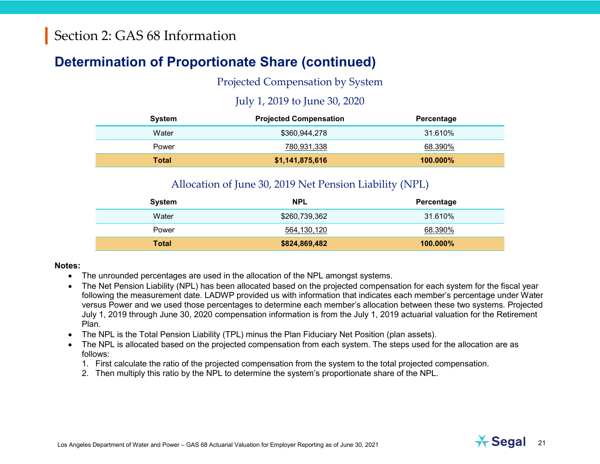## **Determination of Proportionate Share (continued)**

#### Projected Compensation by System

#### July 1, 2019 to June 30, 2020

| <b>System</b> | <b>Projected Compensation</b> | Percentage  |
|---------------|-------------------------------|-------------|
| Water         | \$360,944,278                 | 31.610%     |
| Power         | 780,931,338                   | 68.390%     |
| <b>Total</b>  | \$1,141,875,616               | $100.000\%$ |

#### Allocation of June 30, 2019 Net Pension Liability (NPL)

| <b>System</b> | <b>NPL</b>    | Percentage |
|---------------|---------------|------------|
| Water         | \$260,739,362 | 31.610%    |
| Power         | 564,130,120   | 68.390%    |
| Total         | \$824,869,482 | 100.000%   |

#### **Notes:**

- The unrounded percentages are used in the allocation of the NPL amongst systems.
- The Net Pension Liability (NPL) has been allocated based on the projected compensation for each system for the fiscal year following the measurement date. LADWP provided us with information that indicates each member's percentage under Water versus Power and we used those percentages to determine each member's allocation between these two systems. Projected July 1, 2019 through June 30, 2020 compensation information is from the July 1, 2019 actuarial valuation for the Retirement Plan.
- The NPL is the Total Pension Liability (TPL) minus the Plan Fiduciary Net Position (plan assets).
- The NPL is allocated based on the projected compensation from each system. The steps used for the allocation are as follows:
	- 1. First calculate the ratio of the projected compensation from the system to the total projected compensation.
	- 2. Then multiply this ratio by the NPL to determine the system's proportionate share of the NPL.

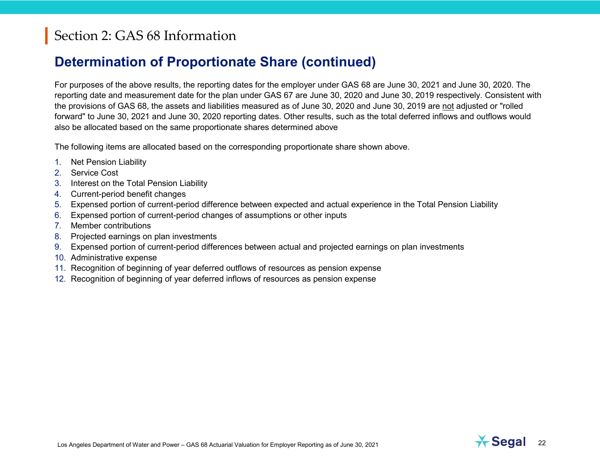#### **Determination of Proportionate Share (continued)**

For purposes of the above results, the reporting dates for the employer under GAS 68 are June 30, 2021 and June 30, 2020. The reporting date and measurement date for the plan under GAS 67 are June 30, 2020 and June 30, 2019 respectively. Consistent with the provisions of GAS 68, the assets and liabilities measured as of June 30, 2020 and June 30, 2019 are not adjusted or "rolled forward" to June 30, 2021 and June 30, 2020 reporting dates. Other results, such as the total deferred inflows and outflows would also be allocated based on the same proportionate shares determined above

The following items are allocated based on the corresponding proportionate share shown above.

- 1. Net Pension Liability
- 2. Service Cost
- 3. Interest on the Total Pension Liability
- 4. Current-period benefit changes
- 5. Expensed portion of current-period difference between expected and actual experience in the Total Pension Liability
- 6. Expensed portion of current-period changes of assumptions or other inputs
- 7. Member contributions
- 8. Projected earnings on plan investments
- 9. Expensed portion of current-period differences between actual and projected earnings on plan investments
- 10. Administrative expense
- 11. Recognition of beginning of year deferred outflows of resources as pension expense
- 12. Recognition of beginning of year deferred inflows of resources as pension expense

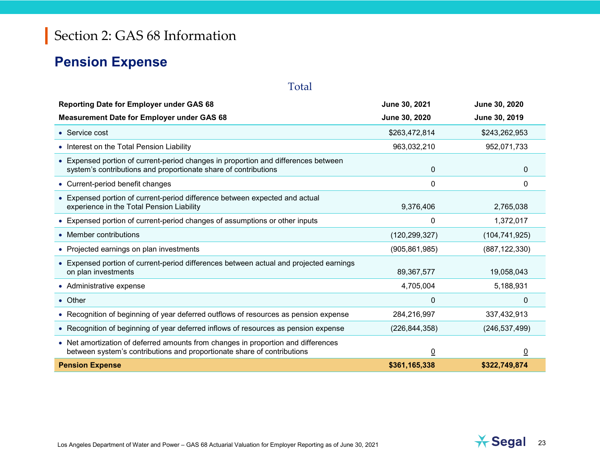#### <span id="page-22-0"></span>**Pension Expense**

#### Total **Reporting Date for Employer under GAS 68 June 30, 2021 June 30, 2020 Measurement Date for Employer under GAS 68 June 30, 2020 June 30, 2019** • Service cost \$263,472,814 \$243,262,953 • Interest on the Total Pension Liability 963,032,210 952,071,733 • Expensed portion of current-period changes in proportion and differences between system's contributions and proportionate share of contributions 0 0 • Current-period benefit changes 0 0 • Expensed portion of current-period difference between expected and actual experience in the Total Pension Liability 9,376,406 2,765,038 • Expensed portion of current-period changes of assumptions or other inputs 0 1,372,017 • Member contributions (120,299,327) (104,741,925) • Projected earnings on plan investments (905,861,985) (887,122,330) • Expensed portion of current-period differences between actual and projected earnings on plan investments and the state of the state of the state of the state of the state of the state of the state of the state of the state of the state of the state of the state of the state of the state of the state of the • Administrative expense 4,705,004 5,188,931 • Other  $0$   $0$ • Recognition of beginning of year deferred outflows of resources as pension expense 284,216,997 337,432,913 • Recognition of beginning of year deferred inflows of resources as pension expense (226,844,358) (246,537,499) • Net amortization of deferred amounts from changes in proportion and differences between system's contributions and proportionate share of contributions 0 0

**Pension Expense \$361,165,338 \$322,749,874**

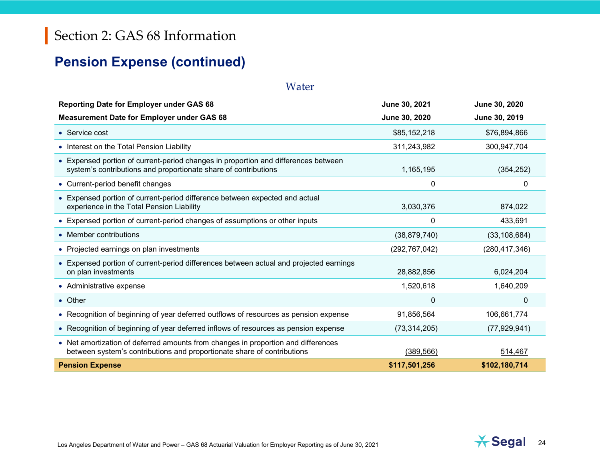#### **Pension Expense (continued)**

| Water                                                                                                                                                        |                 |                 |  |  |  |
|--------------------------------------------------------------------------------------------------------------------------------------------------------------|-----------------|-----------------|--|--|--|
| <b>Reporting Date for Employer under GAS 68</b>                                                                                                              | June 30, 2021   | June 30, 2020   |  |  |  |
| <b>Measurement Date for Employer under GAS 68</b>                                                                                                            | June 30, 2020   | June 30, 2019   |  |  |  |
| • Service cost                                                                                                                                               | \$85,152,218    | \$76,894,866    |  |  |  |
| • Interest on the Total Pension Liability                                                                                                                    | 311,243,982     | 300,947,704     |  |  |  |
| • Expensed portion of current-period changes in proportion and differences between<br>system's contributions and proportionate share of contributions        | 1,165,195       | (354, 252)      |  |  |  |
| • Current-period benefit changes                                                                                                                             | 0               | 0               |  |  |  |
| • Expensed portion of current-period difference between expected and actual<br>experience in the Total Pension Liability                                     | 3,030,376       | 874,022         |  |  |  |
| • Expensed portion of current-period changes of assumptions or other inputs                                                                                  | 0               | 433,691         |  |  |  |
| • Member contributions                                                                                                                                       | (38, 879, 740)  | (33, 108, 684)  |  |  |  |
| • Projected earnings on plan investments                                                                                                                     | (292, 767, 042) | (280, 417, 346) |  |  |  |
| • Expensed portion of current-period differences between actual and projected earnings<br>on plan investments                                                | 28,882,856      | 6,024,204       |  |  |  |
| • Administrative expense                                                                                                                                     | 1,520,618       | 1,640,209       |  |  |  |
| • Other                                                                                                                                                      | 0               | $\mathbf 0$     |  |  |  |
| • Recognition of beginning of year deferred outflows of resources as pension expense                                                                         | 91,856,564      | 106,661,774     |  |  |  |
| • Recognition of beginning of year deferred inflows of resources as pension expense                                                                          | (73, 314, 205)  | (77, 929, 941)  |  |  |  |
| • Net amortization of deferred amounts from changes in proportion and differences<br>between system's contributions and proportionate share of contributions | (389, 566)      | 514,467         |  |  |  |
| <b>Pension Expense</b>                                                                                                                                       | \$117,501,256   | \$102,180,714   |  |  |  |

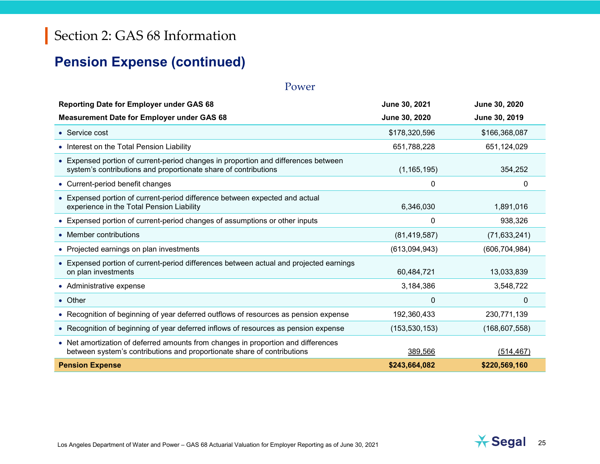#### **Pension Expense (continued)**

#### **Reporting Date for Employer under GAS 68 June 30, 2021 June 30, 2020 Measurement Date for Employer under GAS 68 June 30, 2020 June 30, 2019** • Service cost \$178,320,596 \$166,368,087 • Interest on the Total Pension Liability 651,788,228 651,124,029 • Expensed portion of current-period changes in proportion and differences between system's contributions and proportionate share of contributions (1,165,195) 354,252 • Current-period benefit changes 0 0 • Expensed portion of current-period difference between expected and actual experience in the Total Pension Liability and the Contract of the Contract of the Gas of the Contract of the Contract of the Gas of the Contract of the Contract of the Contract of the Contract of the Contract of the Contra • Expensed portion of current-period changes of assumptions or other inputs 0 938,326 • Member contributions (81,419,587) (71,633,241) • Projected earnings on plan investments (613,094,943) (606,704,984) • Expensed portion of current-period differences between actual and projected earnings on plan investments 60,484,721 13,033,839 • Administrative expense 3,184,386 3,548,722 • Other  $0$   $0$ • Recognition of beginning of year deferred outflows of resources as pension expense 192,360,433 230,771,139 • Recognition of beginning of year deferred inflows of resources as pension expense (153,530,153) (168,607,558) • Net amortization of deferred amounts from changes in proportion and differences between system's contributions and proportionate share of contributions 389,566 (514,467) **Pension Expense \$243,664,082 \$220,569,160**

Power

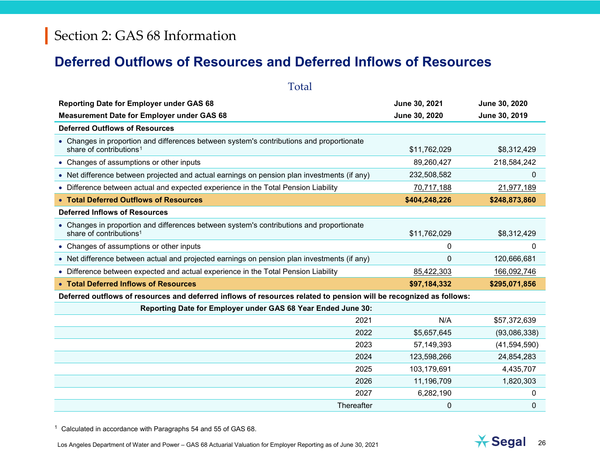#### <span id="page-25-1"></span><span id="page-25-0"></span>**Deferred Outflows of Resources and Deferred Inflows of Resources**

| Total                                                                                                                           |                                |                                |
|---------------------------------------------------------------------------------------------------------------------------------|--------------------------------|--------------------------------|
| <b>Reporting Date for Employer under GAS 68</b><br><b>Measurement Date for Employer under GAS 68</b>                            | June 30, 2021<br>June 30, 2020 | June 30, 2020<br>June 30, 2019 |
| <b>Deferred Outflows of Resources</b>                                                                                           |                                |                                |
| • Changes in proportion and differences between system's contributions and proportionate<br>share of contributions <sup>1</sup> | \$11,762,029                   | \$8,312,429                    |
| • Changes of assumptions or other inputs                                                                                        | 89,260,427                     | 218,584,242                    |
| • Net difference between projected and actual earnings on pension plan investments (if any)                                     | 232,508,582                    | 0                              |
| • Difference between actual and expected experience in the Total Pension Liability                                              | 70,717,188                     | 21,977,189                     |
| • Total Deferred Outflows of Resources                                                                                          | \$404,248,226                  | \$248,873,860                  |
| <b>Deferred Inflows of Resources</b>                                                                                            |                                |                                |
| • Changes in proportion and differences between system's contributions and proportionate<br>share of contributions <sup>1</sup> | \$11,762,029                   | \$8,312,429                    |
| • Changes of assumptions or other inputs                                                                                        | 0                              | 0                              |
| • Net difference between actual and projected earnings on pension plan investments (if any)                                     | 0                              | 120,666,681                    |
| • Difference between expected and actual experience in the Total Pension Liability                                              | 85,422,303                     | 166,092,746                    |
| • Total Deferred Inflows of Resources                                                                                           | \$97,184,332                   | \$295,071,856                  |
| Deferred outflows of resources and deferred inflows of resources related to pension will be recognized as follows:              |                                |                                |
| Reporting Date for Employer under GAS 68 Year Ended June 30:                                                                    |                                |                                |
| 2021                                                                                                                            | N/A                            | \$57,372,639                   |
| 2022                                                                                                                            | \$5,657,645                    | (93,086,338)                   |
| 2023                                                                                                                            | 57,149,393                     | (41,594,590)                   |
| 2024                                                                                                                            | 123,598,266                    | 24,854,283                     |
| 2025                                                                                                                            | 103,179,691                    | 4,435,707                      |
| 2026                                                                                                                            | 11,196,709                     | 1,820,303                      |
| 2027                                                                                                                            | 6,282,190                      | 0                              |
| Thereafter                                                                                                                      | 0                              | 0                              |

<sup>1</sup> Calculated in accordance with Paragraphs 54 and 55 of GAS 68.

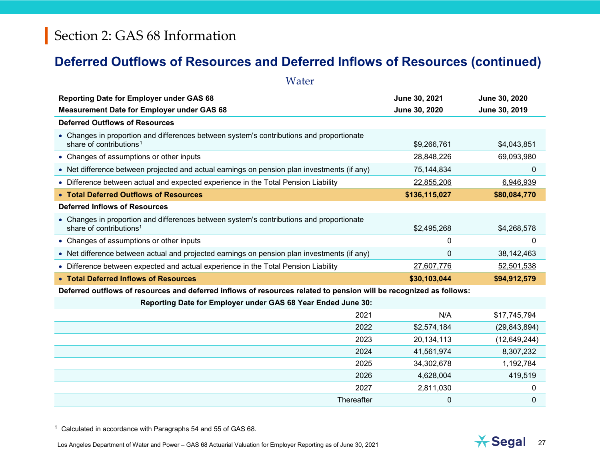#### **Deferred Outflows of Resources and Deferred Inflows of Resources (continued)**

<span id="page-26-0"></span>**Water** 

| <b>Reporting Date for Employer under GAS 68</b>                                                                                 | June 30, 2021 | June 30, 2020  |
|---------------------------------------------------------------------------------------------------------------------------------|---------------|----------------|
| <b>Measurement Date for Employer under GAS 68</b>                                                                               | June 30, 2020 | June 30, 2019  |
| <b>Deferred Outflows of Resources</b>                                                                                           |               |                |
| • Changes in proportion and differences between system's contributions and proportionate<br>share of contributions <sup>1</sup> | \$9,266,761   | \$4,043,851    |
| • Changes of assumptions or other inputs                                                                                        | 28,848,226    | 69,093,980     |
| • Net difference between projected and actual earnings on pension plan investments (if any)                                     | 75,144,834    | 0              |
| • Difference between actual and expected experience in the Total Pension Liability                                              | 22,855,206    | 6,946,939      |
| • Total Deferred Outflows of Resources                                                                                          | \$136,115,027 | \$80,084,770   |
| <b>Deferred Inflows of Resources</b>                                                                                            |               |                |
| • Changes in proportion and differences between system's contributions and proportionate<br>share of contributions <sup>1</sup> | \$2,495,268   | \$4,268,578    |
| • Changes of assumptions or other inputs                                                                                        | 0             | 0              |
| • Net difference between actual and projected earnings on pension plan investments (if any)                                     | 0             | 38,142,463     |
| • Difference between expected and actual experience in the Total Pension Liability                                              | 27,607,776    | 52,501,538     |
| • Total Deferred Inflows of Resources                                                                                           | \$30,103,044  | \$94,912,579   |
| Deferred outflows of resources and deferred inflows of resources related to pension will be recognized as follows:              |               |                |
| Reporting Date for Employer under GAS 68 Year Ended June 30:                                                                    |               |                |
| 2021                                                                                                                            | N/A           | \$17,745,794   |
| 2022                                                                                                                            | \$2,574,184   | (29, 843, 894) |
| 2023                                                                                                                            | 20,134,113    | (12, 649, 244) |
| 2024                                                                                                                            | 41,561,974    | 8,307,232      |
| 2025                                                                                                                            | 34,302,678    | 1,192,784      |

<sup>1</sup> Calculated in accordance with Paragraphs 54 and 55 of GAS 68.



2026 4,628,004 419,519 2027 2,811,030 0 Thereafter 0 0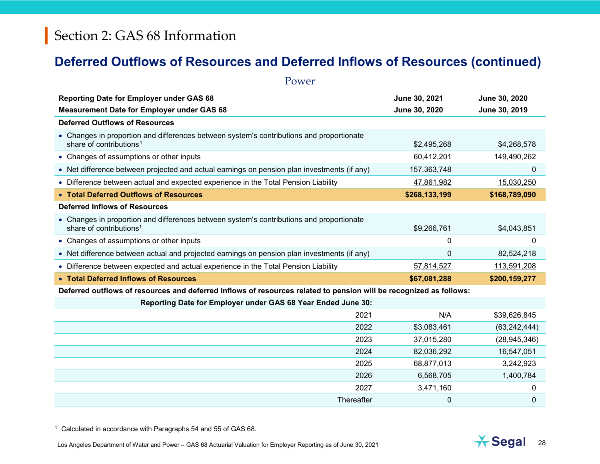## <span id="page-27-0"></span>**Deferred Outflows of Resources and Deferred Inflows of Resources (continued)**

| Power                                                                                                                           |                                |                                |
|---------------------------------------------------------------------------------------------------------------------------------|--------------------------------|--------------------------------|
| <b>Reporting Date for Employer under GAS 68</b><br><b>Measurement Date for Employer under GAS 68</b>                            | June 30, 2021<br>June 30, 2020 | June 30, 2020<br>June 30, 2019 |
| <b>Deferred Outflows of Resources</b>                                                                                           |                                |                                |
| • Changes in proportion and differences between system's contributions and proportionate<br>share of contributions <sup>1</sup> | \$2,495,268                    | \$4,268,578                    |
| • Changes of assumptions or other inputs                                                                                        | 60,412,201                     | 149,490,262                    |
| • Net difference between projected and actual earnings on pension plan investments (if any)                                     | 157,363,748                    | $\Omega$                       |
| • Difference between actual and expected experience in the Total Pension Liability                                              | 47,861,982                     | 15,030,250                     |
| • Total Deferred Outflows of Resources                                                                                          | \$268,133,199                  | \$168,789,090                  |
| <b>Deferred Inflows of Resources</b>                                                                                            |                                |                                |
| • Changes in proportion and differences between system's contributions and proportionate<br>share of contributions <sup>1</sup> | \$9,266,761                    | \$4,043,851                    |
| • Changes of assumptions or other inputs                                                                                        | 0                              | 0                              |
| • Net difference between actual and projected earnings on pension plan investments (if any)                                     | $\Omega$                       | 82,524,218                     |
| • Difference between expected and actual experience in the Total Pension Liability                                              | 57,814,527                     | 113,591,208                    |
| • Total Deferred Inflows of Resources                                                                                           | \$67,081,288                   | \$200,159,277                  |
| Deferred outflows of resources and deferred inflows of resources related to pension will be recognized as follows:              |                                |                                |
| Reporting Date for Employer under GAS 68 Year Ended June 30:                                                                    |                                |                                |
| 2021                                                                                                                            | N/A                            | \$39,626,845                   |
| 2022                                                                                                                            | \$3,083,461                    | (63, 242, 444)                 |
| 2023                                                                                                                            | 37,015,280                     | (28, 945, 346)                 |
| 2024                                                                                                                            | 82,036,292                     | 16,547,051                     |
| 2025                                                                                                                            | 68,877,013                     | 3,242,923                      |
| 2026                                                                                                                            | 6,568,705                      | 1,400,784                      |
| 2027                                                                                                                            | 3,471,160                      | 0                              |
| Thereafter                                                                                                                      | 0                              | 0                              |

<sup>1</sup> Calculated in accordance with Paragraphs 54 and 55 of GAS 68.

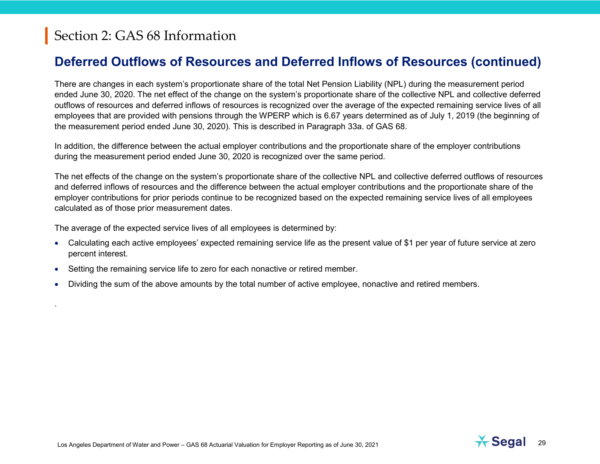.

#### **Deferred Outflows of Resources and Deferred Inflows of Resources (continued)**

There are changes in each system's proportionate share of the total Net Pension Liability (NPL) during the measurement period ended June 30, 2020. The net effect of the change on the system's proportionate share of the collective NPL and collective deferred outflows of resources and deferred inflows of resources is recognized over the average of the expected remaining service lives of all employees that are provided with pensions through the WPERP which is 6.67 years determined as of July 1, 2019 (the beginning of the measurement period ended June 30, 2020). This is described in Paragraph 33a. of GAS 68.

In addition, the difference between the actual employer contributions and the proportionate share of the employer contributions during the measurement period ended June 30, 2020 is recognized over the same period.

The net effects of the change on the system's proportionate share of the collective NPL and collective deferred outflows of resources and deferred inflows of resources and the difference between the actual employer contributions and the proportionate share of the employer contributions for prior periods continue to be recognized based on the expected remaining service lives of all employees calculated as of those prior measurement dates.

The average of the expected service lives of all employees is determined by:

- Calculating each active employees' expected remaining service life as the present value of \$1 per year of future service at zero percent interest.
- Setting the remaining service life to zero for each nonactive or retired member.
- Dividing the sum of the above amounts by the total number of active employee, nonactive and retired members.

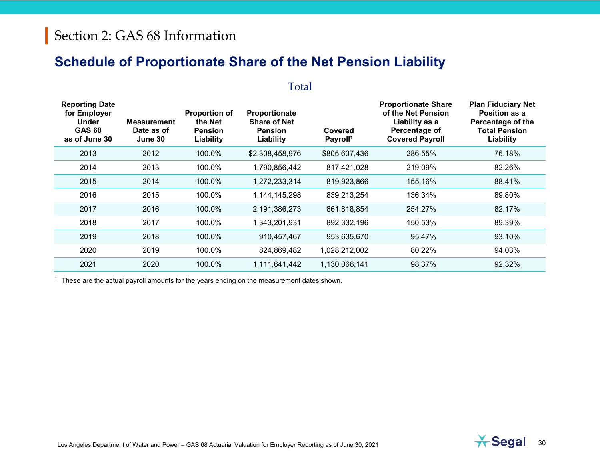#### <span id="page-29-0"></span>**Schedule of Proportionate Share of the Net Pension Liability**

#### Total

| <b>Reporting Date</b><br>for Employer<br><b>Under</b><br><b>GAS 68</b><br>as of June 30 | <b>Measurement</b><br>Date as of<br>June 30 | <b>Proportion of</b><br>the Net<br><b>Pension</b><br>Liability | Proportionate<br><b>Share of Net</b><br><b>Pension</b><br>Liability | Covered<br>Payroll <sup>1</sup> | <b>Proportionate Share</b><br>of the Net Pension<br>Liability as a<br>Percentage of<br><b>Covered Payroll</b> | <b>Plan Fiduciary Net</b><br>Position as a<br>Percentage of the<br><b>Total Pension</b><br>Liability |
|-----------------------------------------------------------------------------------------|---------------------------------------------|----------------------------------------------------------------|---------------------------------------------------------------------|---------------------------------|---------------------------------------------------------------------------------------------------------------|------------------------------------------------------------------------------------------------------|
| 2013                                                                                    | 2012                                        | 100.0%                                                         | \$2,308,458,976                                                     | \$805,607,436                   | 286.55%                                                                                                       | 76.18%                                                                                               |
| 2014                                                                                    | 2013                                        | 100.0%                                                         | 1,790,856,442                                                       | 817,421,028                     | 219.09%                                                                                                       | 82.26%                                                                                               |
| 2015                                                                                    | 2014                                        | 100.0%                                                         | 1,272,233,314                                                       | 819,923,866                     | 155.16%                                                                                                       | 88.41%                                                                                               |
| 2016                                                                                    | 2015                                        | 100.0%                                                         | 1,144,145,298                                                       | 839,213,254                     | 136.34%                                                                                                       | 89.80%                                                                                               |
| 2017                                                                                    | 2016                                        | 100.0%                                                         | 2,191,386,273                                                       | 861,818,854                     | 254.27%                                                                                                       | 82.17%                                                                                               |
| 2018                                                                                    | 2017                                        | 100.0%                                                         | 1,343,201,931                                                       | 892,332,196                     | 150.53%                                                                                                       | 89.39%                                                                                               |
| 2019                                                                                    | 2018                                        | 100.0%                                                         | 910,457,467                                                         | 953,635,670                     | 95.47%                                                                                                        | 93.10%                                                                                               |
| 2020                                                                                    | 2019                                        | 100.0%                                                         | 824,869,482                                                         | 1,028,212,002                   | 80.22%                                                                                                        | 94.03%                                                                                               |
| 2021                                                                                    | 2020                                        | 100.0%                                                         | 1,111,641,442                                                       | 1,130,066,141                   | 98.37%                                                                                                        | 92.32%                                                                                               |

<sup>1</sup> These are the actual payroll amounts for the years ending on the measurement dates shown.

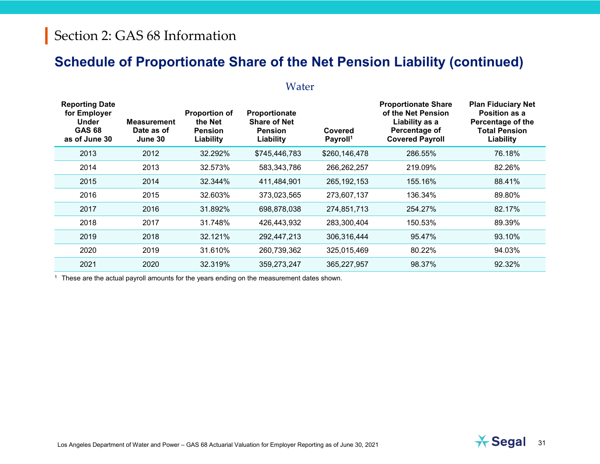#### **Schedule of Proportionate Share of the Net Pension Liability (continued)**

#### Water

| <b>Reporting Date</b><br>for Employer<br><b>Under</b><br><b>GAS 68</b><br>as of June 30 | <b>Measurement</b><br>Date as of<br>June 30 | <b>Proportion of</b><br>the Net<br><b>Pension</b><br>Liability | Proportionate<br><b>Share of Net</b><br><b>Pension</b><br>Liability | Covered<br>Payroll <sup>1</sup> | <b>Proportionate Share</b><br>of the Net Pension<br>Liability as a<br>Percentage of<br><b>Covered Payroll</b> | <b>Plan Fiduciary Net</b><br>Position as a<br>Percentage of the<br><b>Total Pension</b><br>Liability |
|-----------------------------------------------------------------------------------------|---------------------------------------------|----------------------------------------------------------------|---------------------------------------------------------------------|---------------------------------|---------------------------------------------------------------------------------------------------------------|------------------------------------------------------------------------------------------------------|
| 2013                                                                                    | 2012                                        | 32.292%                                                        | \$745,446,783                                                       | \$260,146,478                   | 286.55%                                                                                                       | 76.18%                                                                                               |
| 2014                                                                                    | 2013                                        | 32.573%                                                        | 583,343,786                                                         | 266,262,257                     | 219.09%                                                                                                       | 82.26%                                                                                               |
| 2015                                                                                    | 2014                                        | 32.344%                                                        | 411,484,901                                                         | 265, 192, 153                   | 155.16%                                                                                                       | 88.41%                                                                                               |
| 2016                                                                                    | 2015                                        | 32.603%                                                        | 373,023,565                                                         | 273,607,137                     | 136.34%                                                                                                       | 89.80%                                                                                               |
| 2017                                                                                    | 2016                                        | 31.892%                                                        | 698,878,038                                                         | 274,851,713                     | 254.27%                                                                                                       | 82.17%                                                                                               |
| 2018                                                                                    | 2017                                        | 31.748%                                                        | 426,443,932                                                         | 283,300,404                     | 150.53%                                                                                                       | 89.39%                                                                                               |
| 2019                                                                                    | 2018                                        | 32.121%                                                        | 292,447,213                                                         | 306,316,444                     | 95.47%                                                                                                        | 93.10%                                                                                               |
| 2020                                                                                    | 2019                                        | 31.610%                                                        | 260,739,362                                                         | 325,015,469                     | 80.22%                                                                                                        | 94.03%                                                                                               |
| 2021                                                                                    | 2020                                        | 32.319%                                                        | 359,273,247                                                         | 365,227,957                     | 98.37%                                                                                                        | 92.32%                                                                                               |

<sup>1</sup> These are the actual payroll amounts for the years ending on the measurement dates shown.

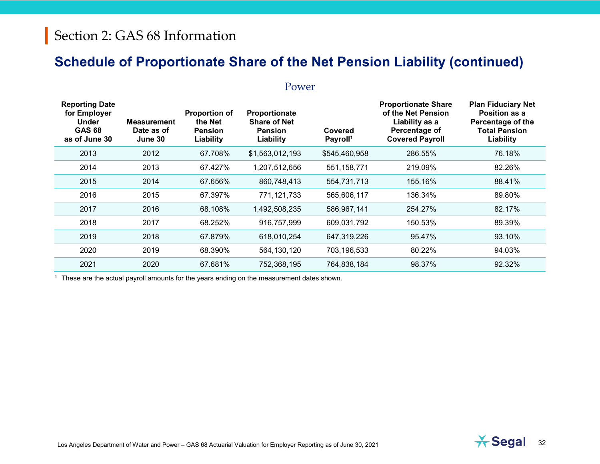#### **Schedule of Proportionate Share of the Net Pension Liability (continued)**

#### Power

| <b>Reporting Date</b><br>for Employer<br><b>Under</b><br><b>GAS 68</b><br>as of June 30 | <b>Measurement</b><br>Date as of<br>June 30 | <b>Proportion of</b><br>the Net<br><b>Pension</b><br>Liability | Proportionate<br><b>Share of Net</b><br><b>Pension</b><br>Liability | Covered<br>Payroll <sup>1</sup> | <b>Proportionate Share</b><br>of the Net Pension<br>Liability as a<br>Percentage of<br><b>Covered Payroll</b> | <b>Plan Fiduciary Net</b><br>Position as a<br>Percentage of the<br><b>Total Pension</b><br>Liability |
|-----------------------------------------------------------------------------------------|---------------------------------------------|----------------------------------------------------------------|---------------------------------------------------------------------|---------------------------------|---------------------------------------------------------------------------------------------------------------|------------------------------------------------------------------------------------------------------|
| 2013                                                                                    | 2012                                        | 67.708%                                                        | \$1,563,012,193                                                     | \$545,460,958                   | 286.55%                                                                                                       | 76.18%                                                                                               |
| 2014                                                                                    | 2013                                        | 67.427%                                                        | 1,207,512,656                                                       | 551,158,771                     | 219.09%                                                                                                       | 82.26%                                                                                               |
| 2015                                                                                    | 2014                                        | 67.656%                                                        | 860,748,413                                                         | 554,731,713                     | 155.16%                                                                                                       | 88.41%                                                                                               |
| 2016                                                                                    | 2015                                        | 67.397%                                                        | 771,121,733                                                         | 565,606,117                     | 136.34%                                                                                                       | 89.80%                                                                                               |
| 2017                                                                                    | 2016                                        | 68.108%                                                        | 1,492,508,235                                                       | 586,967,141                     | 254.27%                                                                                                       | 82.17%                                                                                               |
| 2018                                                                                    | 2017                                        | 68.252%                                                        | 916,757,999                                                         | 609,031,792                     | 150.53%                                                                                                       | 89.39%                                                                                               |
| 2019                                                                                    | 2018                                        | 67.879%                                                        | 618,010,254                                                         | 647,319,226                     | 95.47%                                                                                                        | 93.10%                                                                                               |
| 2020                                                                                    | 2019                                        | 68.390%                                                        | 564, 130, 120                                                       | 703,196,533                     | 80.22%                                                                                                        | 94.03%                                                                                               |
| 2021                                                                                    | 2020                                        | 67.681%                                                        | 752,368,195                                                         | 764,838,184                     | 98.37%                                                                                                        | 92.32%                                                                                               |

<sup>1</sup> These are the actual payroll amounts for the years ending on the measurement dates shown.

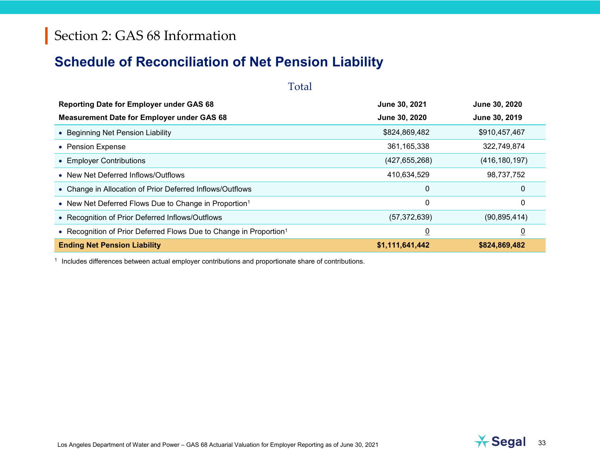#### <span id="page-32-0"></span>**Schedule of Reconciliation of Net Pension Liability**

| Total                                                                          |                 |                 |  |  |  |  |  |  |  |  |
|--------------------------------------------------------------------------------|-----------------|-----------------|--|--|--|--|--|--|--|--|
| <b>Reporting Date for Employer under GAS 68</b>                                | June 30, 2021   | June 30, 2020   |  |  |  |  |  |  |  |  |
| <b>Measurement Date for Employer under GAS 68</b>                              | June 30, 2020   | June 30, 2019   |  |  |  |  |  |  |  |  |
| • Beginning Net Pension Liability                                              | \$824,869,482   | \$910,457,467   |  |  |  |  |  |  |  |  |
| • Pension Expense                                                              | 361, 165, 338   | 322,749,874     |  |  |  |  |  |  |  |  |
| • Employer Contributions                                                       | (427, 655, 268) | (416, 180, 197) |  |  |  |  |  |  |  |  |
| • New Net Deferred Inflows/Outflows                                            | 410,634,529     | 98,737,752      |  |  |  |  |  |  |  |  |
| • Change in Allocation of Prior Deferred Inflows/Outflows                      | $\mathbf 0$     | 0               |  |  |  |  |  |  |  |  |
| • New Net Deferred Flows Due to Change in Proportion <sup>1</sup>              | $\mathbf 0$     | 0               |  |  |  |  |  |  |  |  |
| • Recognition of Prior Deferred Inflows/Outflows                               | (57, 372, 639)  | (90, 895, 414)  |  |  |  |  |  |  |  |  |
| • Recognition of Prior Deferred Flows Due to Change in Proportion <sup>1</sup> | $\overline{0}$  | $\overline{0}$  |  |  |  |  |  |  |  |  |
| <b>Ending Net Pension Liability</b>                                            | \$1,111,641,442 | \$824,869,482   |  |  |  |  |  |  |  |  |

<sup>1</sup> Includes differences between actual employer contributions and proportionate share of contributions.

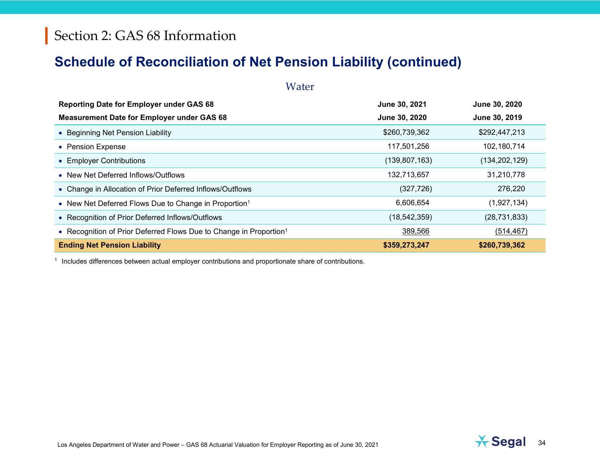#### **Schedule of Reconciliation of Net Pension Liability (continued)**

| Water                                                                          |                 |                 |  |  |  |  |  |  |  |  |  |
|--------------------------------------------------------------------------------|-----------------|-----------------|--|--|--|--|--|--|--|--|--|
| <b>Reporting Date for Employer under GAS 68</b>                                | June 30, 2021   | June 30, 2020   |  |  |  |  |  |  |  |  |  |
| <b>Measurement Date for Employer under GAS 68</b>                              | June 30, 2020   | June 30, 2019   |  |  |  |  |  |  |  |  |  |
| • Beginning Net Pension Liability                                              | \$260,739,362   | \$292,447,213   |  |  |  |  |  |  |  |  |  |
| • Pension Expense                                                              | 117,501,256     | 102,180,714     |  |  |  |  |  |  |  |  |  |
| • Employer Contributions                                                       | (139, 807, 163) | (134, 202, 129) |  |  |  |  |  |  |  |  |  |
| • New Net Deferred Inflows/Outflows                                            | 132,713,657     | 31,210,778      |  |  |  |  |  |  |  |  |  |
| • Change in Allocation of Prior Deferred Inflows/Outflows                      | (327, 726)      | 276,220         |  |  |  |  |  |  |  |  |  |
| • New Net Deferred Flows Due to Change in Proportion <sup>1</sup>              | 6,606,654       | (1,927,134)     |  |  |  |  |  |  |  |  |  |
| • Recognition of Prior Deferred Inflows/Outflows                               | (18, 542, 359)  | (28, 731, 833)  |  |  |  |  |  |  |  |  |  |
| • Recognition of Prior Deferred Flows Due to Change in Proportion <sup>1</sup> | 389,566         | (514, 467)      |  |  |  |  |  |  |  |  |  |
| <b>Ending Net Pension Liability</b>                                            | \$359,273,247   | \$260,739,362   |  |  |  |  |  |  |  |  |  |

<sup>1</sup> Includes differences between actual employer contributions and proportionate share of contributions.

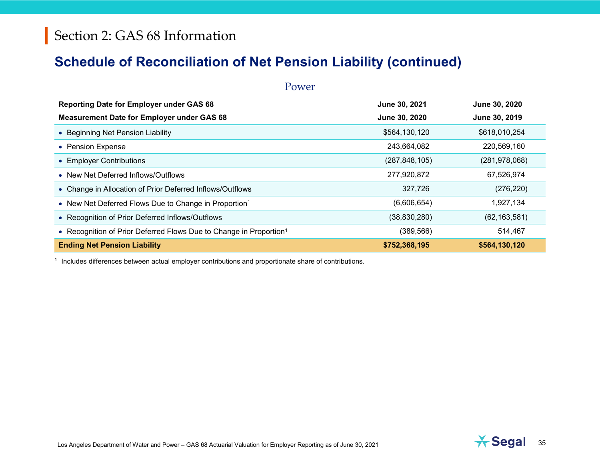#### **Schedule of Reconciliation of Net Pension Liability (continued)**

| Power                                                                          |                 |                 |  |  |  |  |  |  |  |  |  |
|--------------------------------------------------------------------------------|-----------------|-----------------|--|--|--|--|--|--|--|--|--|
| <b>Reporting Date for Employer under GAS 68</b>                                | June 30, 2021   | June 30, 2020   |  |  |  |  |  |  |  |  |  |
| <b>Measurement Date for Employer under GAS 68</b>                              | June 30, 2020   | June 30, 2019   |  |  |  |  |  |  |  |  |  |
| • Beginning Net Pension Liability                                              | \$564,130,120   | \$618,010,254   |  |  |  |  |  |  |  |  |  |
| • Pension Expense                                                              | 243,664,082     | 220,569,160     |  |  |  |  |  |  |  |  |  |
| • Employer Contributions                                                       | (287, 848, 105) | (281, 978, 068) |  |  |  |  |  |  |  |  |  |
| • New Net Deferred Inflows/Outflows                                            | 277,920,872     | 67,526,974      |  |  |  |  |  |  |  |  |  |
| • Change in Allocation of Prior Deferred Inflows/Outflows                      | 327,726         | (276, 220)      |  |  |  |  |  |  |  |  |  |
| • New Net Deferred Flows Due to Change in Proportion <sup>1</sup>              | (6,606,654)     | 1,927,134       |  |  |  |  |  |  |  |  |  |
| • Recognition of Prior Deferred Inflows/Outflows                               | (38, 830, 280)  | (62, 163, 581)  |  |  |  |  |  |  |  |  |  |
| • Recognition of Prior Deferred Flows Due to Change in Proportion <sup>1</sup> | (389, 566)      | 514,467         |  |  |  |  |  |  |  |  |  |
| <b>Ending Net Pension Liability</b>                                            | \$752,368,195   | \$564,130,120   |  |  |  |  |  |  |  |  |  |

<sup>1</sup> Includes differences between actual employer contributions and proportionate share of contributions.

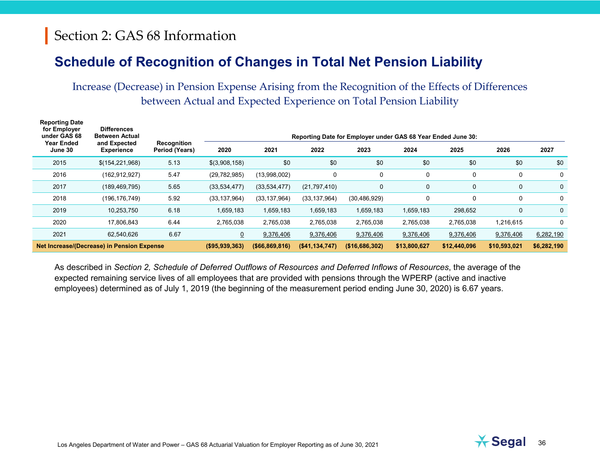#### <span id="page-35-0"></span>**Schedule of Recognition of Changes in Total Net Pension Liability**

Increase (Decrease) in Pension Expense Arising from the Recognition of the Effects of Differences between Actual and Expected Experience on Total Pension Liability

| <b>Reporting Date</b><br>for Employer<br>under GAS 68 | <b>Differences</b><br><b>Between Actual</b> |                                      | Reporting Date for Employer under GAS 68 Year Ended June 30: |                   |                 |                |              |              |              |             |  |
|-------------------------------------------------------|---------------------------------------------|--------------------------------------|--------------------------------------------------------------|-------------------|-----------------|----------------|--------------|--------------|--------------|-------------|--|
| <b>Year Ended</b><br>June 30                          | and Expected<br><b>Experience</b>           | <b>Recognition</b><br>Period (Years) | 2020                                                         | 2021              | 2022            | 2023           | 2024         | 2025         | 2026         | 2027        |  |
| 2015                                                  | \$(154,221,968)                             | 5.13                                 | \$(3,908,158)                                                | \$0               | \$0             | \$0            | \$0          | \$0          | \$0          | \$0         |  |
| 2016                                                  | (162, 912, 927)                             | 5.47                                 | (29, 782, 985)                                               | (13,998,002)      | 0               |                | 0            |              | 0            | 0           |  |
| 2017                                                  | (189, 469, 795)                             | 5.65                                 | (33, 534, 477)                                               | (33,534,477)      | (21, 797, 410)  | $\Omega$       | $\mathbf 0$  | $\mathbf 0$  | $\mathbf 0$  | 0           |  |
| 2018                                                  | (196,176,749)                               | 5.92                                 | (33, 137, 964)                                               | (33, 137, 964)    | (33, 137, 964)  | (30, 486, 929) |              | $\Omega$     | 0            | 0           |  |
| 2019                                                  | 10,253,750                                  | 6.18                                 | 1,659,183                                                    | 1,659,183         | 1,659,183       | 1,659,183      | 1,659,183    | 298,652      | $\mathbf 0$  | 0           |  |
| 2020                                                  | 17,806,843                                  | 6.44                                 | 2,765,038                                                    | 2,765,038         | 2,765,038       | 2,765,038      | 2,765,038    | 2,765,038    | 1,216,615    | 0           |  |
| 2021                                                  | 62,540,626                                  | 6.67                                 | $\overline{0}$                                               | 9,376,406         | 9,376,406       | 9,376,406      | 9,376,406    | 9,376,406    | 9,376,406    | 6,282,190   |  |
|                                                       | Net Increase/(Decrease) in Pension Expense  |                                      | $($ \$95,939,363)                                            | ( \$66, 869, 816) | (S41, 134, 747) | (\$16,686,302) | \$13,800,627 | \$12,440,096 | \$10,593,021 | \$6,282,190 |  |

As described in *Section 2, Schedule of Deferred Outflows of Resources and Deferred Inflows of Resources*, the average of the expected remaining service lives of all employees that are provided with pensions through the WPERP (active and inactive employees) determined as of July 1, 2019 (the beginning of the measurement period ending June 30, 2020) is 6.67 years.

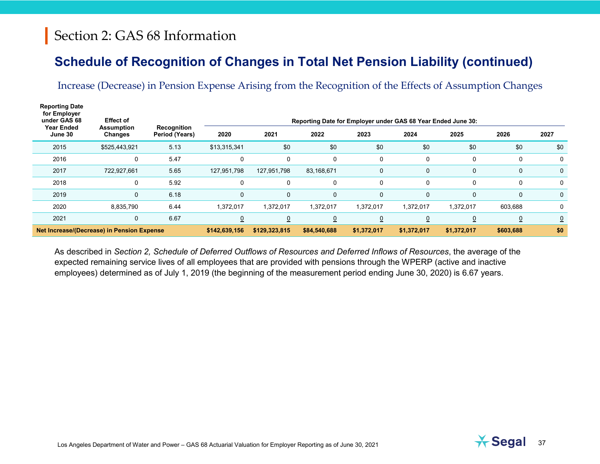#### **Schedule of Recognition of Changes in Total Net Pension Liability (continued)**

Increase (Decrease) in Pension Expense Arising from the Recognition of the Effects of Assumption Changes

| <b>Reporting Date</b><br>for Employer<br>under GAS 68 | <b>Effect of</b>             |                               | Reporting Date for Employer under GAS 68 Year Ended June 30: |                |                |                |                |                |                |                |  |
|-------------------------------------------------------|------------------------------|-------------------------------|--------------------------------------------------------------|----------------|----------------|----------------|----------------|----------------|----------------|----------------|--|
| <b>Year Ended</b><br>June 30                          | <b>Assumption</b><br>Changes | Recognition<br>Period (Years) | 2020                                                         | 2021           | 2022           | 2023           | 2024           | 2025           | 2026           | 2027           |  |
| 2015                                                  | \$525,443,921                | 5.13                          | \$13,315,341                                                 | \$0            | \$0            | \$0            | \$0            | \$0            | \$0            | \$0            |  |
| 2016                                                  | 0                            | 5.47                          | 0                                                            | 0              | 0              | 0              | $\mathbf 0$    | $\Omega$       | 0              | 0              |  |
| 2017                                                  | 722,927,661                  | 5.65                          | 127,951,798                                                  | 127,951,798    | 83,168,671     | 0              | $\mathbf 0$    | $\Omega$       | $\Omega$       | $\mathbf 0$    |  |
| 2018                                                  | 0                            | 5.92                          | 0                                                            | 0              | 0              | 0              | $\Omega$       | $\mathbf{0}$   | 0              | 0              |  |
| 2019                                                  | 0                            | 6.18                          | 0                                                            | $\mathbf 0$    | 0              | $\Omega$       | 0              | $\Omega$       | $\Omega$       | 0              |  |
| 2020                                                  | 8,835,790                    | 6.44                          | 1,372,017                                                    | 1,372,017      | 1,372,017      | 1,372,017      | 1,372,017      | 1,372,017      | 603,688        | 0              |  |
| 2021                                                  | 0                            | 6.67                          | <u>0</u>                                                     | $\overline{0}$ | $\overline{0}$ | $\overline{0}$ | $\overline{0}$ | $\overline{0}$ | $\overline{0}$ | $\overline{0}$ |  |
| Net Increase/(Decrease) in Pension Expense            |                              |                               | \$142,639,156                                                | \$129,323,815  | \$84,540,688   | \$1,372,017    | \$1,372,017    | \$1,372,017    | \$603,688      | \$0            |  |

As described in *Section 2, Schedule of Deferred Outflows of Resources and Deferred Inflows of Resources*, the average of the expected remaining service lives of all employees that are provided with pensions through the WPERP (active and inactive employees) determined as of July 1, 2019 (the beginning of the measurement period ending June 30, 2020) is 6.67 years.

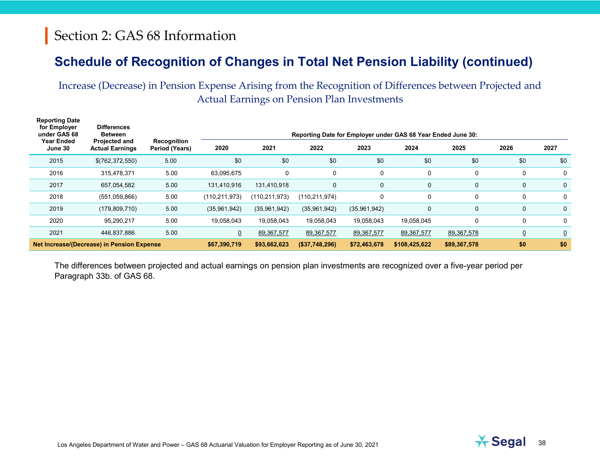#### **Schedule of Recognition of Changes in Total Net Pension Liability (continued)**

Increase (Decrease) in Pension Expense Arising from the Recognition of Differences between Projected and Actual Earnings on Pension Plan Investments

| <b>Reporting Date</b><br>for Employer<br>under GAS 68 | <b>Differences</b><br>Between                  |                               | Reporting Date for Employer under GAS 68 Year Ended June 30: |                 |                 |              |               |              |                |                |  |
|-------------------------------------------------------|------------------------------------------------|-------------------------------|--------------------------------------------------------------|-----------------|-----------------|--------------|---------------|--------------|----------------|----------------|--|
| <b>Year Ended</b><br>June 30                          | <b>Projected and</b><br><b>Actual Earnings</b> | Recognition<br>Period (Years) | 2020                                                         | 2021            | 2022            | 2023         | 2024          | 2025         | 2026           | 2027           |  |
| 2015                                                  | \$(762,372,550)                                | 5.00                          | \$0                                                          | \$0             | \$0             | \$0          | \$0           | \$0          | \$0            | \$0            |  |
| 2016                                                  | 315,478,371                                    | 5.00                          | 63,095,675                                                   | $\Omega$        | 0               | 0            | 0             | 0            | 0              | 0              |  |
| 2017                                                  | 657,054,582                                    | 5.00                          | 131,410,916                                                  | 131.410.918     | 0               | $\mathbf 0$  | $\mathbf 0$   | 0            | $\mathbf 0$    | 0              |  |
| 2018                                                  | (551,059,866)                                  | 5.00                          | (110, 211, 973)                                              | (110, 211, 973) | (110,211,974)   | $\Omega$     | 0             | 0            | 0              | 0              |  |
| 2019                                                  | (179, 809, 710)                                | 5.00                          | (35,961,942)                                                 | (35,961,942)    | (35,961,942)    | (35,961,942) | $\mathbf 0$   | 0            | 0              | $\mathbf 0$    |  |
| 2020                                                  | 95,290,217                                     | 5.00                          | 19,058,043                                                   | 19,058,043      | 19,058,043      | 19,058,043   | 19,058,045    | 0            | 0              | 0              |  |
| 2021                                                  | 446,837,886                                    | 5.00                          | $\overline{0}$                                               | 89,367,577      | 89,367,577      | 89,367,577   | 89, 367, 577  | 89,367,578   | $\overline{0}$ | $\overline{0}$ |  |
|                                                       | Net Increase/(Decrease) in Pension Expense     |                               | \$67,390,719                                                 | \$93,662,623    | ( \$37,748,296) | \$72,463,678 | \$108,425,622 | \$89,367,578 | \$0            | \$0            |  |

The differences between projected and actual earnings on pension plan investments are recognized over a five-year period per Paragraph 33b. of GAS 68.

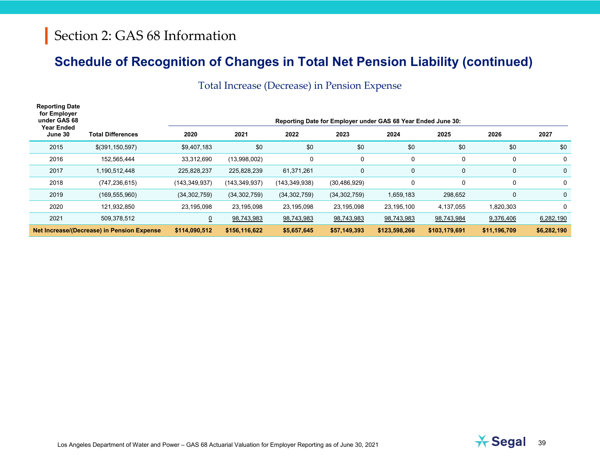#### **Schedule of Recognition of Changes in Total Net Pension Liability (continued)**

Total Increase (Decrease) in Pension Expense

| <b>Reporting Date</b><br>for Employer<br>under GAS 68<br><b>Year Ended</b> |                                            | Reporting Date for Employer under GAS 68 Year Ended June 30: |                |                |                |               |               |              |             |  |  |
|----------------------------------------------------------------------------|--------------------------------------------|--------------------------------------------------------------|----------------|----------------|----------------|---------------|---------------|--------------|-------------|--|--|
| June 30                                                                    | <b>Total Differences</b>                   | 2020                                                         | 2021           | 2022           | 2023           | 2024          | 2025          | 2026         | 2027        |  |  |
| 2015                                                                       | \$(391, 150, 597)                          | \$9,407,183                                                  | \$0            | \$0            | \$0            | \$0           | \$0           | \$0          | \$0         |  |  |
| 2016                                                                       | 152,565,444                                | 33,312,690                                                   | (13,998,002)   | 0              | 0              | 0             | 0             | 0            | 0           |  |  |
| 2017                                                                       | 1,190,512,448                              | 225,828,237                                                  | 225,828,239    | 61,371,261     | $\mathbf{0}$   | $\mathbf 0$   | $\mathbf 0$   | $\mathbf 0$  | $\mathbf 0$ |  |  |
| 2018                                                                       | (747, 236, 615)                            | (143,349,937)                                                | (143,349,937)  | (143,349,938)  | (30, 486, 929) | 0             | $\Omega$      | 0            | $\mathbf 0$ |  |  |
| 2019                                                                       | (169, 555, 960)                            | (34, 302, 759)                                               | (34, 302, 759) | (34, 302, 759) | (34, 302, 759) | 1,659,183     | 298,652       | 0            | $\mathbf 0$ |  |  |
| 2020                                                                       | 121,932,850                                | 23,195,098                                                   | 23,195,098     | 23,195,098     | 23,195,098     | 23,195,100    | 4,137,055     | 1,820,303    | 0           |  |  |
| 2021                                                                       | 509,378,512                                | $\overline{0}$                                               | 98,743,983     | 98,743,983     | 98,743,983     | 98,743,983    | 98,743,984    | 9,376,406    | 6,282,190   |  |  |
|                                                                            | Net Increase/(Decrease) in Pension Expense | \$114,090,512                                                | \$156,116,622  | \$5,657,645    | \$57,149,393   | \$123,598,266 | \$103,179,691 | \$11,196,709 | \$6,282,190 |  |  |

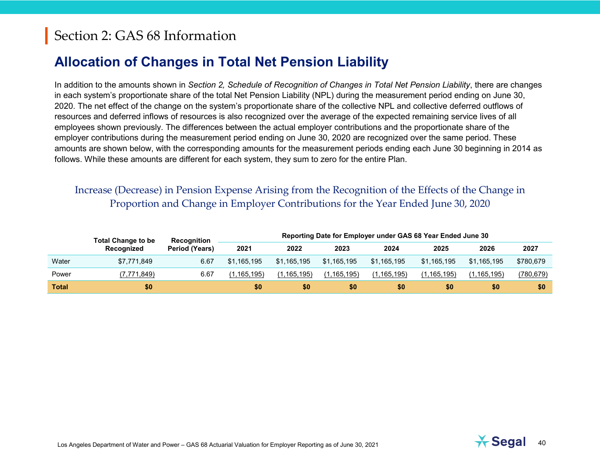#### <span id="page-39-0"></span>**Allocation of Changes in Total Net Pension Liability**

In addition to the amounts shown in *Section 2, Schedule of Recognition of Changes in Total Net Pension Liability*, there are changes in each system's proportionate share of the total Net Pension Liability (NPL) during the measurement period ending on June 30, 2020. The net effect of the change on the system's proportionate share of the collective NPL and collective deferred outflows of resources and deferred inflows of resources is also recognized over the average of the expected remaining service lives of all employees shown previously. The differences between the actual employer contributions and the proportionate share of the employer contributions during the measurement period ending on June 30, 2020 are recognized over the same period. These amounts are shown below, with the corresponding amounts for the measurement periods ending each June 30 beginning in 2014 as follows. While these amounts are different for each system, they sum to zero for the entire Plan.

|              | <b>Total Change to be</b> | <b>Recognition</b><br>Period (Years) | Reporting Date for Employer under GAS 68 Year Ended June 30 |             |             |             |             |               |                  |  |  |
|--------------|---------------------------|--------------------------------------|-------------------------------------------------------------|-------------|-------------|-------------|-------------|---------------|------------------|--|--|
|              | Recognized                |                                      | 2021                                                        | 2022        | 2023        | 2024        | 2025        | 2026          | 2027             |  |  |
| Water        | \$7,771,849               | 6.67                                 | \$1.165.195                                                 | \$1.165.195 | \$1.165.195 | \$1,165,195 | \$1,165,195 | \$1.165.195   | \$780,679        |  |  |
| Power        | (7,771,849)               | 6.67                                 | (1.165.195)                                                 | (1.165.195) | (1.165.195) | (1.165.195) | (1.165.195) | (1, 165, 195) | <u>(780,679)</u> |  |  |
| <b>Total</b> | \$0                       |                                      | \$0                                                         | \$0         | \$0         | \$0         | \$0         | \$0           | \$0              |  |  |

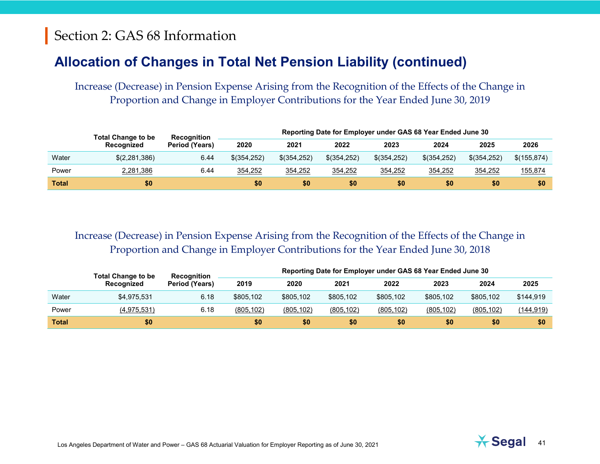#### **Allocation of Changes in Total Net Pension Liability (continued)**

Increase (Decrease) in Pension Expense Arising from the Recognition of the Effects of the Change in Proportion and Change in Employer Contributions for the Year Ended June 30, 2019

|              | <b>Total Change to be</b> | <b>Recognition</b> | Reporting Date for Employer under GAS 68 Year Ended June 30 |               |             |             |             |               |                |  |  |
|--------------|---------------------------|--------------------|-------------------------------------------------------------|---------------|-------------|-------------|-------------|---------------|----------------|--|--|
|              | Recognized                | Period (Years)     | 2020                                                        | 2021          | 2022        | 2023        | 2024        | 2025          | 2026           |  |  |
| Water        | \$(2,281,386)             | 6.44               | \$(354,252)                                                 | $$$ (354,252) | \$(354,252) | \$(354,252) | \$(354,252) | $$$ (354.252) | \$(155,874)    |  |  |
| Power        | 2,281,386                 | 6.44               | 354,252                                                     | 354,252       | 354,252     | 354,252     | 354,252     | 354,252       | <u>155,874</u> |  |  |
| <b>Total</b> | \$0 <sub>1</sub>          |                    | \$0                                                         | \$0           | \$0         | \$0         | \$0         | \$0           | \$0            |  |  |

|              | <b>Total Change to be</b> | <b>Recognition</b> |            | Reporting Date for Employer under GAS 68 Year Ended June 30 |            |            |            |            |            |  |  |
|--------------|---------------------------|--------------------|------------|-------------------------------------------------------------|------------|------------|------------|------------|------------|--|--|
|              | Recognized                | Period (Years)     | 2019       | 2020                                                        | 2021       | 2022       | 2023       | 2024       | 2025       |  |  |
| Water        | \$4,975,531               | 6.18               | \$805.102  | \$805,102                                                   | \$805.102  | \$805.102  | \$805.102  | \$805.102  | \$144,919  |  |  |
| Power        | (4,975,531)               | 6.18               | (805, 102) | (805, 102)                                                  | (805, 102) | (805, 102) | (805, 102) | (805, 102) | (144, 919) |  |  |
| <b>Total</b> | \$0                       |                    | \$0        | \$0                                                         | \$0        | \$0        | \$0        | \$0        | \$0        |  |  |

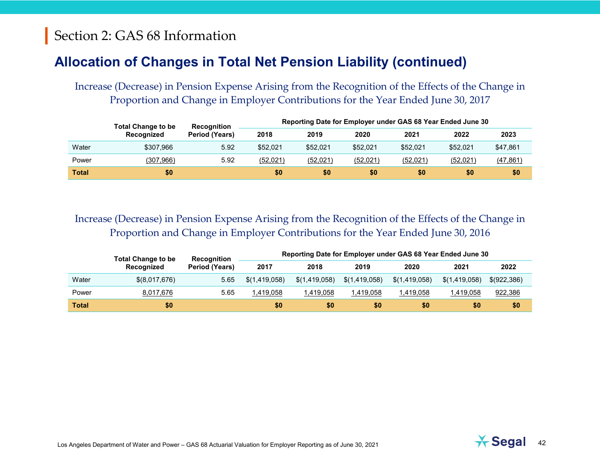#### **Allocation of Changes in Total Net Pension Liability (continued)**

Increase (Decrease) in Pension Expense Arising from the Recognition of the Effects of the Change in Proportion and Change in Employer Contributions for the Year Ended June 30, 2017

|              | <b>Total Change to be</b> | <b>Recognition</b> | Reporting Date for Employer under GAS 68 Year Ended June 30 |          |          |          |          |           |  |  |  |
|--------------|---------------------------|--------------------|-------------------------------------------------------------|----------|----------|----------|----------|-----------|--|--|--|
|              | Recognized                | Period (Years)     | 2018                                                        | 2019     | 2020     | 2021     | 2022     | 2023      |  |  |  |
| Water        | \$307.966                 | 5.92               | \$52.021                                                    | \$52.021 | \$52.021 | \$52.021 | \$52.021 | \$47.861  |  |  |  |
| Power        | (307,966)                 | 5.92               | (52,021)                                                    | (52,021) | (52,021) | (52,021) | (52,021) | (47, 861) |  |  |  |
| <b>Total</b> | \$0                       |                    | \$0                                                         | \$0      | \$0      | \$0      | \$0      | \$0       |  |  |  |

|              | Total Change to be | <b>Recognition</b> |               | Reporting Date for Employer under GAS 68 Year Ended June 30 |               |               |               |             |  |
|--------------|--------------------|--------------------|---------------|-------------------------------------------------------------|---------------|---------------|---------------|-------------|--|
|              | Recognized         | Period (Years)     | 2017          | 2018                                                        | 2019          | 2020          | 2021          | 2022        |  |
| Water        | \$(8,017,676)      | 5.65               | \$(1,419,058) | \$(1,419,058)                                               | \$(1,419,058) | \$(1,419,058) | \$(1,419,058) | \$(922,386) |  |
| Power        | 8,017,676          | 5.65               | 1.419.058     | 1,419,058                                                   | 1.419.058     | 1,419,058     | 1,419,058     | 922,386     |  |
| <b>Total</b> | \$0                |                    | \$0           | \$0                                                         | \$0           | \$0           | \$0           | \$0         |  |

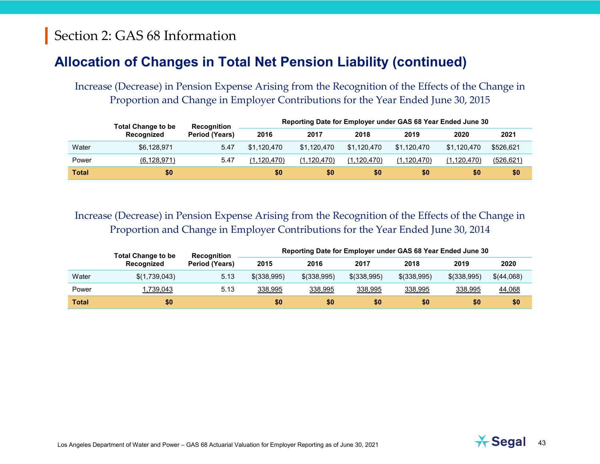#### **Allocation of Changes in Total Net Pension Liability (continued)**

Increase (Decrease) in Pension Expense Arising from the Recognition of the Effects of the Change in Proportion and Change in Employer Contributions for the Year Ended June 30, 2015

|              | <b>Total Change to be</b><br>Recognized | <b>Recognition</b> | Reporting Date for Employer under GAS 68 Year Ended June 30 |             |               |               |               |            |
|--------------|-----------------------------------------|--------------------|-------------------------------------------------------------|-------------|---------------|---------------|---------------|------------|
|              |                                         | Period (Years)     | 2016                                                        | 2017        | 2018          | 2019          | 2020          | 2021       |
| Water        | \$6,128,971                             | 5.47               | \$1.120.470                                                 | \$1,120,470 | \$1.120.470   | \$1.120.470   | \$1.120.470   | \$526.621  |
| Power        | (6, 128, 971)                           | 5.47               | (1,120,470)                                                 | (1,120,470) | (1, 120, 470) | (1, 120, 470) | (1, 120, 470) | (526, 621) |
| <b>Total</b> | \$0                                     |                    | \$0                                                         | \$0         | \$0           | \$0           | \$0           | \$0        |

|              | <b>Total Change to be</b><br>Recognized | <b>Recognition</b> |             | Reporting Date for Employer under GAS 68 Year Ended June 30 |             |               |               |            |  |
|--------------|-----------------------------------------|--------------------|-------------|-------------------------------------------------------------|-------------|---------------|---------------|------------|--|
|              |                                         | Period (Years)     | 2015        | 2016                                                        | 2017        | 2018          | 2019          | 2020       |  |
| Water        | \$(1,739,043)                           | 5.13               | \$(338,995) | \$(338,995)                                                 | \$(338,995) | $$$ (338,995) | $$$ (338,995) | \$(44,068) |  |
| Power        | 1,739,043                               | 5.13               | 338,995     | 338,995                                                     | 338,995     | 338,995       | 338,995       | 44,068     |  |
| <b>Total</b> | \$0                                     |                    | \$0         | \$0                                                         | \$0         | \$0           | \$0           | \$0        |  |

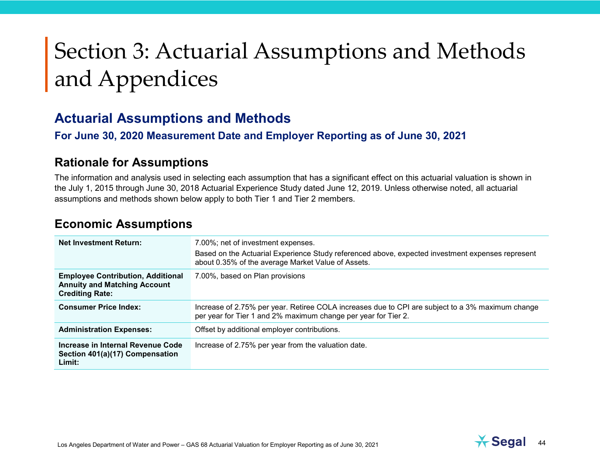#### <span id="page-43-1"></span><span id="page-43-0"></span>**Actuarial Assumptions and Methods**

#### **For June 30, 2020 Measurement Date and Employer Reporting as of June 30, 2021**

#### **Rationale for Assumptions**

The information and analysis used in selecting each assumption that has a significant effect on this actuarial valuation is shown in the July 1, 2015 through June 30, 2018 Actuarial Experience Study dated June 12, 2019. Unless otherwise noted, all actuarial assumptions and methods shown below apply to both Tier 1 and Tier 2 members.

#### **Economic Assumptions**

| <b>Net Investment Return:</b>                                                                             | 7.00%; net of investment expenses.<br>Based on the Actuarial Experience Study referenced above, expected investment expenses represent<br>about 0.35% of the average Market Value of Assets. |
|-----------------------------------------------------------------------------------------------------------|----------------------------------------------------------------------------------------------------------------------------------------------------------------------------------------------|
| <b>Employee Contribution, Additional</b><br><b>Annuity and Matching Account</b><br><b>Crediting Rate:</b> | 7.00%, based on Plan provisions                                                                                                                                                              |
| <b>Consumer Price Index:</b>                                                                              | Increase of 2.75% per year. Retiree COLA increases due to CPI are subject to a 3% maximum change<br>per year for Tier 1 and 2% maximum change per year for Tier 2.                           |
| <b>Administration Expenses:</b>                                                                           | Offset by additional employer contributions.                                                                                                                                                 |
| Increase in Internal Revenue Code<br>Section 401(a)(17) Compensation<br>Limit:                            | Increase of 2.75% per year from the valuation date.                                                                                                                                          |

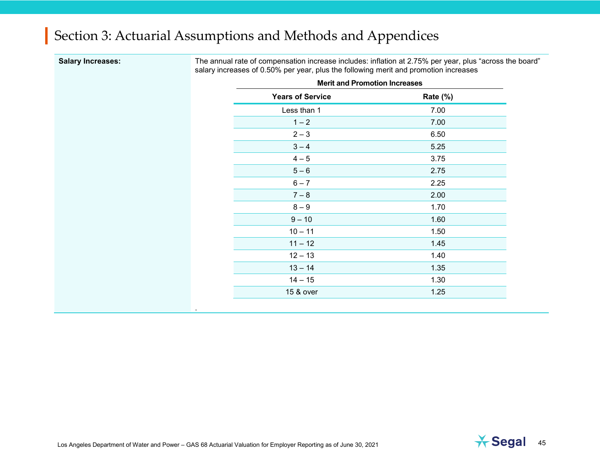**Salary Increases:** The annual rate of compensation increase includes: inflation at 2.75% per year, plus "across the board" salary increases of 0.50% per year, plus the following merit and promotion increases

| <b>Merit and Promotion Increases</b> |          |
|--------------------------------------|----------|
| <b>Years of Service</b>              | Rate (%) |
| Less than 1                          | 7.00     |
| $1 - 2$                              | 7.00     |
| $2 - 3$                              | 6.50     |
| $3 - 4$                              | 5.25     |
| $4 - 5$                              | 3.75     |
| $5-6$                                | 2.75     |
| $6 - 7$                              | 2.25     |
| $7 - 8$                              | 2.00     |
| $8-9$                                | 1.70     |
| $9 - 10$                             | 1.60     |
| $10 - 11$                            | 1.50     |
| $11 - 12$                            | 1.45     |
| $12 - 13$                            | 1.40     |
| $13 - 14$                            | 1.35     |
| $14 - 15$                            | 1.30     |
| 15 & over                            | 1.25     |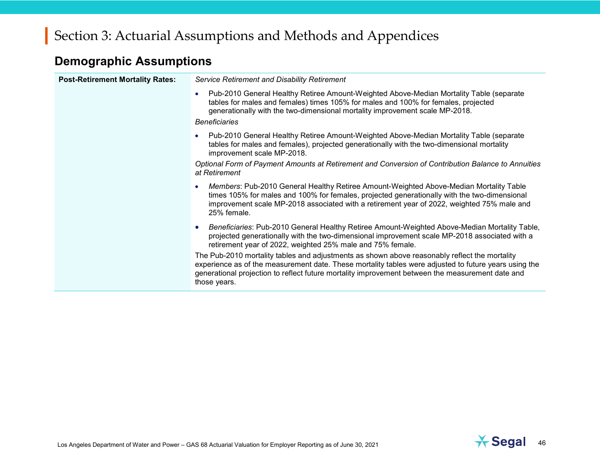#### **Demographic Assumptions**

| <b>Post-Retirement Mortality Rates:</b> | Service Retirement and Disability Retirement                                                                                                                                                                                                                                                                               |
|-----------------------------------------|----------------------------------------------------------------------------------------------------------------------------------------------------------------------------------------------------------------------------------------------------------------------------------------------------------------------------|
|                                         | Pub-2010 General Healthy Retiree Amount-Weighted Above-Median Mortality Table (separate<br>$\bullet$<br>tables for males and females) times 105% for males and 100% for females, projected<br>generationally with the two-dimensional mortality improvement scale MP-2018.<br><b>Beneficiaries</b>                         |
|                                         | Pub-2010 General Healthy Retiree Amount-Weighted Above-Median Mortality Table (separate<br>$\bullet$<br>tables for males and females), projected generationally with the two-dimensional mortality<br>improvement scale MP-2018.                                                                                           |
|                                         | Optional Form of Payment Amounts at Retirement and Conversion of Contribution Balance to Annuities<br>at Retirement                                                                                                                                                                                                        |
|                                         | Members: Pub-2010 General Healthy Retiree Amount-Weighted Above-Median Mortality Table<br>$\bullet$<br>times 105% for males and 100% for females, projected generationally with the two-dimensional<br>improvement scale MP-2018 associated with a retirement year of 2022, weighted 75% male and<br>25% female.           |
|                                         | Beneficiaries: Pub-2010 General Healthy Retiree Amount-Weighted Above-Median Mortality Table,<br>$\bullet$<br>projected generationally with the two-dimensional improvement scale MP-2018 associated with a<br>retirement year of 2022, weighted 25% male and 75% female.                                                  |
|                                         | The Pub-2010 mortality tables and adjustments as shown above reasonably reflect the mortality<br>experience as of the measurement date. These mortality tables were adjusted to future years using the<br>generational projection to reflect future mortality improvement between the measurement date and<br>those years. |

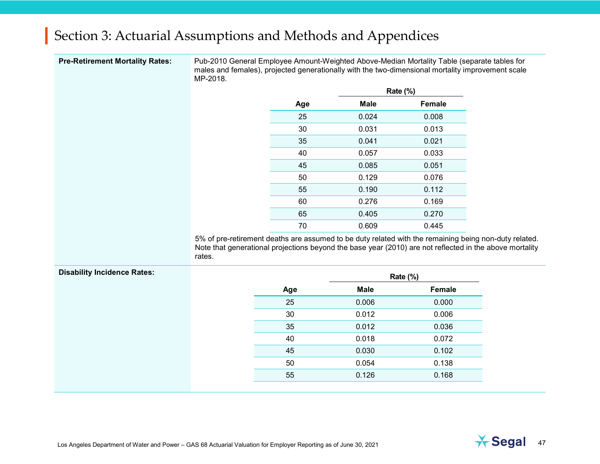|  |     |       | <b>Rate (%)</b> |
|--|-----|-------|-----------------|
|  | Age | Male  | Female          |
|  | 25  | 0.024 | 0.008           |
|  | 30  | 0.031 | 0.013           |
|  | 35  | 0.041 | 0.021           |
|  | 40  | 0.057 | 0.033           |
|  | 45  | 0.085 | 0.051           |
|  | 50  | 0.129 | 0.076           |
|  | 55  | 0.190 | 0.112           |
|  | 60  | 0.276 | 0.169           |
|  | 65  | 0.405 | 0.270           |
|  | 70  | 0.609 | 0.445           |

rates.

| <b>Disability Incidence Rates:</b> |     | <b>Rate (%)</b> |        |  |
|------------------------------------|-----|-----------------|--------|--|
|                                    | Age | <b>Male</b>     | Female |  |
|                                    | 25  | 0.006           | 0.000  |  |
|                                    | 30  | 0.012           | 0.006  |  |
|                                    | 35  | 0.012           | 0.036  |  |
|                                    | 40  | 0.018           | 0.072  |  |
|                                    | 45  | 0.030           | 0.102  |  |
|                                    | 50  | 0.054           | 0.138  |  |
|                                    | 55  | 0.126           | 0.168  |  |
|                                    |     |                 |        |  |

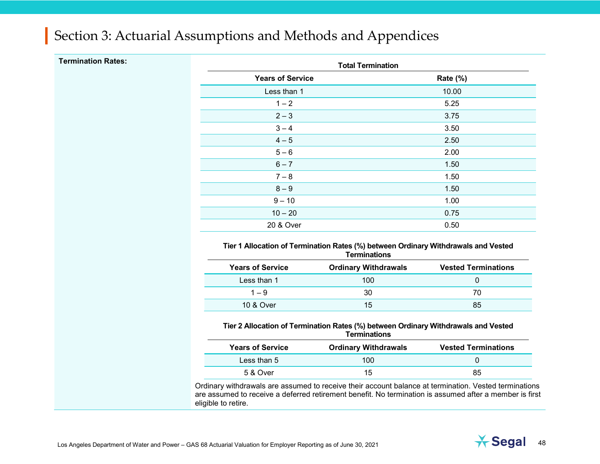| <b>Termination Rates:</b> | <b>Total Termination</b> |          |  |  |  |
|---------------------------|--------------------------|----------|--|--|--|
|                           | <b>Years of Service</b>  | Rate (%) |  |  |  |
|                           | Less than 1              | 10.00    |  |  |  |
|                           | $1 - 2$                  | 5.25     |  |  |  |
|                           | $2 - 3$                  | 3.75     |  |  |  |
|                           | $3 - 4$                  | 3.50     |  |  |  |
|                           | $4 - 5$                  | 2.50     |  |  |  |
|                           | $5-6$                    | 2.00     |  |  |  |
|                           | $6 - 7$                  | 1.50     |  |  |  |
|                           | $7 - 8$                  | 1.50     |  |  |  |
|                           | $8-9$                    | 1.50     |  |  |  |
|                           | $9 - 10$                 | 1.00     |  |  |  |
|                           | $10 - 20$                | 0.75     |  |  |  |
|                           | 20 & Over                | 0.50     |  |  |  |

#### **Tier 1 Allocation of Termination Rates (%) between Ordinary Withdrawals and Vested Terminations**

| <b>Years of Service</b> | <b>Ordinary Withdrawals</b> | <b>Vested Terminations</b> |
|-------------------------|-----------------------------|----------------------------|
| Less than 1             | 100                         |                            |
| $1 - 9$                 | 30                          | 70                         |
| 10 & Over               | 15                          | 85                         |

#### **Tier 2 Allocation of Termination Rates (%) between Ordinary Withdrawals and Vested Terminations**

| <b>Years of Service</b> | <b>Ordinary Withdrawals</b> | <b>Vested Terminations</b> |
|-------------------------|-----------------------------|----------------------------|
| Less than 5             | 100                         |                            |
| 5 & Over                | 15.                         | 85                         |

Ordinary withdrawals are assumed to receive their account balance at termination. Vested terminations are assumed to receive a deferred retirement benefit. No termination is assumed after a member is first eligible to retire.

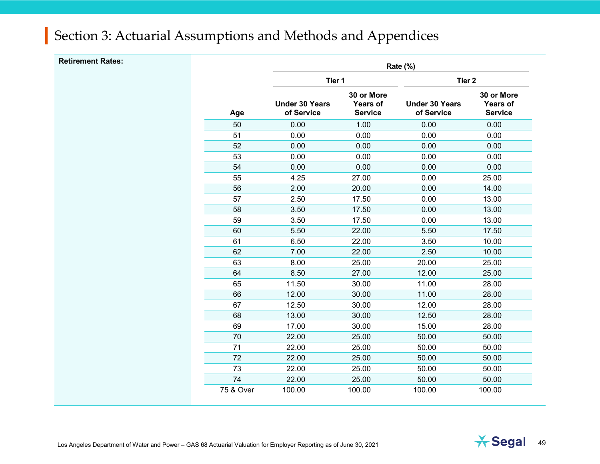| Tier 1<br>30 or More<br><b>Under 30 Years</b><br>Years of<br><b>Under 30 Years</b><br>of Service<br><b>Service</b><br>of Service<br>Age<br>50<br>0.00<br>1.00<br>0.00<br>51<br>0.00<br>0.00<br>0.00<br>52<br>0.00<br>0.00<br>0.00<br>53<br>0.00<br>0.00<br>0.00<br>54<br>0.00<br>0.00<br>0.00<br>55<br>4.25<br>27.00<br>0.00<br>56<br>2.00<br>20.00<br>0.00<br>57<br>2.50<br>0.00<br>17.50<br>58<br>0.00<br>3.50<br>17.50 | Rate (%)                                        |  |  |  |  |
|---------------------------------------------------------------------------------------------------------------------------------------------------------------------------------------------------------------------------------------------------------------------------------------------------------------------------------------------------------------------------------------------------------------------------|-------------------------------------------------|--|--|--|--|
|                                                                                                                                                                                                                                                                                                                                                                                                                           | Tier <sub>2</sub>                               |  |  |  |  |
|                                                                                                                                                                                                                                                                                                                                                                                                                           | 30 or More<br><b>Years of</b><br><b>Service</b> |  |  |  |  |
|                                                                                                                                                                                                                                                                                                                                                                                                                           | 0.00                                            |  |  |  |  |
|                                                                                                                                                                                                                                                                                                                                                                                                                           | 0.00                                            |  |  |  |  |
|                                                                                                                                                                                                                                                                                                                                                                                                                           | 0.00                                            |  |  |  |  |
|                                                                                                                                                                                                                                                                                                                                                                                                                           | 0.00                                            |  |  |  |  |
|                                                                                                                                                                                                                                                                                                                                                                                                                           | 0.00                                            |  |  |  |  |
|                                                                                                                                                                                                                                                                                                                                                                                                                           | 25.00                                           |  |  |  |  |
|                                                                                                                                                                                                                                                                                                                                                                                                                           | 14.00                                           |  |  |  |  |
|                                                                                                                                                                                                                                                                                                                                                                                                                           | 13.00                                           |  |  |  |  |
|                                                                                                                                                                                                                                                                                                                                                                                                                           | 13.00                                           |  |  |  |  |
| 59<br>0.00<br>3.50<br>17.50                                                                                                                                                                                                                                                                                                                                                                                               | 13.00                                           |  |  |  |  |
| 60<br>5.50<br>22.00<br>5.50                                                                                                                                                                                                                                                                                                                                                                                               | 17.50                                           |  |  |  |  |
| 61<br>6.50<br>22.00<br>3.50                                                                                                                                                                                                                                                                                                                                                                                               | 10.00                                           |  |  |  |  |
| 62<br>7.00<br>22.00<br>2.50                                                                                                                                                                                                                                                                                                                                                                                               | 10.00                                           |  |  |  |  |
| 63<br>8.00<br>25.00<br>20.00                                                                                                                                                                                                                                                                                                                                                                                              | 25.00                                           |  |  |  |  |
| 64<br>8.50<br>12.00<br>27.00                                                                                                                                                                                                                                                                                                                                                                                              | 25.00                                           |  |  |  |  |
| 65<br>30.00<br>11.50<br>11.00                                                                                                                                                                                                                                                                                                                                                                                             | 28.00                                           |  |  |  |  |
| 66<br>12.00<br>30.00<br>11.00                                                                                                                                                                                                                                                                                                                                                                                             | 28.00                                           |  |  |  |  |
| 67<br>12.50<br>12.00<br>30.00                                                                                                                                                                                                                                                                                                                                                                                             | 28.00                                           |  |  |  |  |
| 68<br>13.00<br>30.00<br>12.50                                                                                                                                                                                                                                                                                                                                                                                             | 28.00                                           |  |  |  |  |
| 69<br>15.00<br>17.00<br>30.00                                                                                                                                                                                                                                                                                                                                                                                             | 28.00                                           |  |  |  |  |
| 70<br>22.00<br>25.00<br>50.00                                                                                                                                                                                                                                                                                                                                                                                             | 50.00                                           |  |  |  |  |
| 71<br>22.00<br>25.00<br>50.00                                                                                                                                                                                                                                                                                                                                                                                             | 50.00                                           |  |  |  |  |
| 72<br>50.00<br>22.00<br>25.00                                                                                                                                                                                                                                                                                                                                                                                             | 50.00                                           |  |  |  |  |
| 73<br>22.00<br>25.00<br>50.00                                                                                                                                                                                                                                                                                                                                                                                             | 50.00                                           |  |  |  |  |
| 74<br>22.00<br>25.00<br>50.00                                                                                                                                                                                                                                                                                                                                                                                             | 50.00                                           |  |  |  |  |
| 75 & Over<br>100.00<br>100.00<br>100.00                                                                                                                                                                                                                                                                                                                                                                                   | 100.00                                          |  |  |  |  |

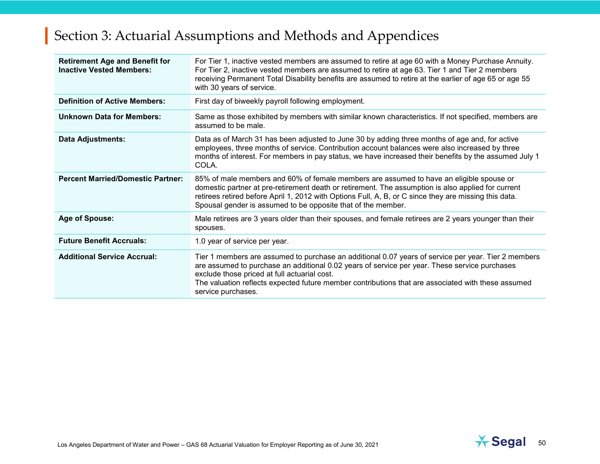| <b>Retirement Age and Benefit for</b><br><b>Inactive Vested Members:</b> | For Tier 1, inactive vested members are assumed to retire at age 60 with a Money Purchase Annuity.<br>For Tier 2, inactive vested members are assumed to retire at age 63. Tier 1 and Tier 2 members<br>receiving Permanent Total Disability benefits are assumed to retire at the earlier of age 65 or age 55<br>with 30 years of service.                                      |  |
|--------------------------------------------------------------------------|----------------------------------------------------------------------------------------------------------------------------------------------------------------------------------------------------------------------------------------------------------------------------------------------------------------------------------------------------------------------------------|--|
| <b>Definition of Active Members:</b>                                     | First day of biweekly payroll following employment.                                                                                                                                                                                                                                                                                                                              |  |
| <b>Unknown Data for Members:</b>                                         | Same as those exhibited by members with similar known characteristics. If not specified, members are<br>assumed to be male.                                                                                                                                                                                                                                                      |  |
| <b>Data Adjustments:</b>                                                 | Data as of March 31 has been adjusted to June 30 by adding three months of age and, for active<br>employees, three months of service. Contribution account balances were also increased by three<br>months of interest. For members in pay status, we have increased their benefits by the assumed July 1<br>COLA.                                                               |  |
| <b>Percent Married/Domestic Partner:</b>                                 | 85% of male members and 60% of female members are assumed to have an eligible spouse or<br>domestic partner at pre-retirement death or retirement. The assumption is also applied for current<br>retirees retired before April 1, 2012 with Options Full, A, B, or C since they are missing this data.<br>Spousal gender is assumed to be opposite that of the member.           |  |
| Age of Spouse:                                                           | Male retirees are 3 years older than their spouses, and female retirees are 2 years younger than their<br>spouses.                                                                                                                                                                                                                                                               |  |
| <b>Future Benefit Accruals:</b>                                          | 1.0 year of service per year.                                                                                                                                                                                                                                                                                                                                                    |  |
| <b>Additional Service Accrual:</b>                                       | Tier 1 members are assumed to purchase an additional 0.07 years of service per year. Tier 2 members<br>are assumed to purchase an additional 0.02 years of service per year. These service purchases<br>exclude those priced at full actuarial cost.<br>The valuation reflects expected future member contributions that are associated with these assumed<br>service purchases. |  |

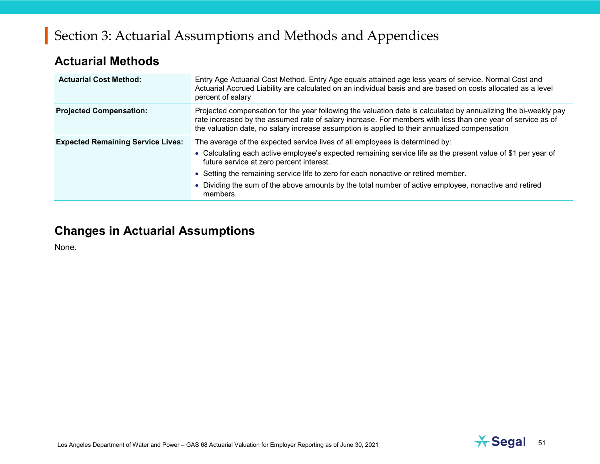#### **Actuarial Methods**

| <b>Actuarial Cost Method:</b>            | Entry Age Actuarial Cost Method. Entry Age equals attained age less years of service. Normal Cost and<br>Actuarial Accrued Liability are calculated on an individual basis and are based on costs allocated as a level<br>percent of salary                                                                                     |
|------------------------------------------|---------------------------------------------------------------------------------------------------------------------------------------------------------------------------------------------------------------------------------------------------------------------------------------------------------------------------------|
| <b>Projected Compensation:</b>           | Projected compensation for the year following the valuation date is calculated by annualizing the bi-weekly pay<br>rate increased by the assumed rate of salary increase. For members with less than one year of service as of<br>the valuation date, no salary increase assumption is applied to their annualized compensation |
| <b>Expected Remaining Service Lives:</b> | The average of the expected service lives of all employees is determined by:                                                                                                                                                                                                                                                    |
|                                          | • Calculating each active employee's expected remaining service life as the present value of \$1 per year of<br>future service at zero percent interest.                                                                                                                                                                        |
|                                          | • Setting the remaining service life to zero for each nonactive or retired member.                                                                                                                                                                                                                                              |
|                                          | • Dividing the sum of the above amounts by the total number of active employee, nonactive and retired<br>members.                                                                                                                                                                                                               |

#### **Changes in Actuarial Assumptions**

None.

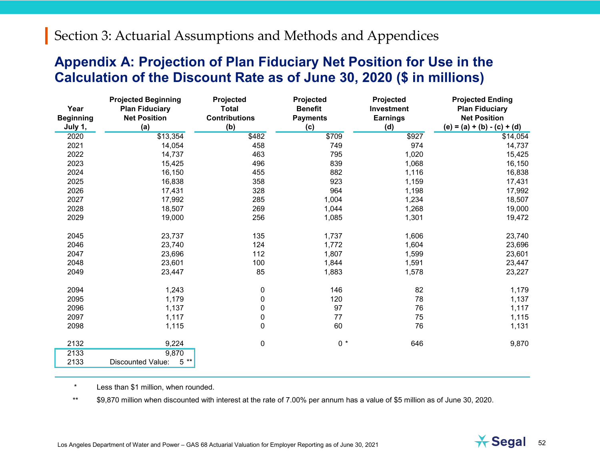#### <span id="page-51-0"></span>**Appendix A: Projection of Plan Fiduciary Net Position for Use in the Calculation of the Discount Rate as of June 30, 2020 (\$ in millions)**

| Year<br><b>Beginning</b><br>July 1, | <b>Projected Beginning</b><br><b>Plan Fiduciary</b><br><b>Net Position</b><br>(a) | Projected<br><b>Total</b><br><b>Contributions</b><br>(b) | Projected<br><b>Benefit</b><br><b>Payments</b><br><u>(c)</u> | Projected<br>Investment<br><b>Earnings</b><br>(d) | <b>Projected Ending</b><br><b>Plan Fiduciary</b><br><b>Net Position</b><br>$(e) = (a) + (b) - (c) + (d)$ |
|-------------------------------------|-----------------------------------------------------------------------------------|----------------------------------------------------------|--------------------------------------------------------------|---------------------------------------------------|----------------------------------------------------------------------------------------------------------|
| 2020                                | \$13,354                                                                          | \$482                                                    | \$709                                                        | \$927                                             | \$14,054                                                                                                 |
| 2021                                | 14,054                                                                            | 458                                                      | 749                                                          | 974                                               | 14,737                                                                                                   |
| 2022                                | 14,737                                                                            | 463                                                      | 795                                                          | 1,020                                             | 15,425                                                                                                   |
| 2023                                | 15,425                                                                            | 496                                                      | 839                                                          | 1,068                                             | 16,150                                                                                                   |
| 2024                                | 16,150                                                                            | 455                                                      | 882                                                          | 1,116                                             | 16,838                                                                                                   |
| 2025                                | 16,838                                                                            | 358                                                      | 923                                                          | 1,159                                             | 17,431                                                                                                   |
| 2026                                | 17,431                                                                            | 328                                                      | 964                                                          | 1,198                                             | 17,992                                                                                                   |
| 2027                                | 17,992                                                                            | 285                                                      | 1,004                                                        | 1,234                                             | 18,507                                                                                                   |
| 2028                                | 18,507                                                                            | 269                                                      | 1,044                                                        | 1,268                                             | 19,000                                                                                                   |
| 2029                                | 19,000                                                                            | 256                                                      | 1,085                                                        | 1,301                                             | 19,472                                                                                                   |
| 2045                                | 23,737                                                                            | 135                                                      | 1,737                                                        | 1,606                                             | 23,740                                                                                                   |
| 2046                                | 23,740                                                                            | 124                                                      | 1,772                                                        | 1,604                                             | 23,696                                                                                                   |
| 2047                                | 23,696                                                                            | 112                                                      | 1,807                                                        | 1,599                                             | 23,601                                                                                                   |
| 2048                                | 23,601                                                                            | 100                                                      | 1,844                                                        | 1,591                                             | 23,447                                                                                                   |
| 2049                                | 23,447                                                                            | 85                                                       | 1,883                                                        | 1,578                                             | 23,227                                                                                                   |
| 2094                                | 1,243                                                                             | $\pmb{0}$                                                | 146                                                          | 82                                                | 1,179                                                                                                    |
| 2095                                | 1,179                                                                             | $\mathbf 0$                                              | 120                                                          | 78                                                | 1,137                                                                                                    |
| 2096                                | 1,137                                                                             | $\pmb{0}$                                                | 97                                                           | 76                                                | 1,117                                                                                                    |
| 2097                                | 1,117                                                                             | $\pmb{0}$                                                | 77                                                           | 75                                                | 1,115                                                                                                    |
| 2098                                | 1,115                                                                             | $\mathbf 0$                                              | 60                                                           | 76                                                | 1,131                                                                                                    |
| 2132                                | 9,224                                                                             | $\pmb{0}$                                                | $0 *$                                                        | 646                                               | 9,870                                                                                                    |
| 2133                                | 9,870                                                                             |                                                          |                                                              |                                                   |                                                                                                          |
| 2133                                | 5<br>$***$<br><b>Discounted Value:</b>                                            |                                                          |                                                              |                                                   |                                                                                                          |

\* Less than \$1 million, when rounded.

\*\* \$9,870 million when discounted with interest at the rate of 7.00% per annum has a value of \$5 million as of June 30, 2020.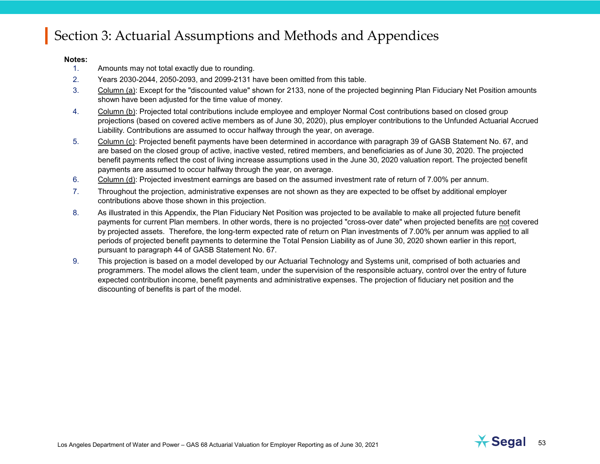#### **Notes:**

- 1. Amounts may not total exactly due to rounding.
- 2. Years 2030-2044, 2050-2093, and 2099-2131 have been omitted from this table.
- 3. Column (a): Except for the "discounted value" shown for 2133, none of the projected beginning Plan Fiduciary Net Position amounts shown have been adjusted for the time value of money.
- 4. Column (b): Projected total contributions include employee and employer Normal Cost contributions based on closed group projections (based on covered active members as of June 30, 2020), plus employer contributions to the Unfunded Actuarial Accrued Liability. Contributions are assumed to occur halfway through the year, on average.
- 5. Column (c): Projected benefit payments have been determined in accordance with paragraph 39 of GASB Statement No. 67, and are based on the closed group of active, inactive vested, retired members, and beneficiaries as of June 30, 2020. The projected benefit payments reflect the cost of living increase assumptions used in the June 30, 2020 valuation report. The projected benefit payments are assumed to occur halfway through the year, on average.
- 6. Column (d): Projected investment earnings are based on the assumed investment rate of return of 7.00% per annum.
- 7. Throughout the projection, administrative expenses are not shown as they are expected to be offset by additional employer contributions above those shown in this projection.
- 8. As illustrated in this Appendix, the Plan Fiduciary Net Position was projected to be available to make all projected future benefit payments for current Plan members. In other words, there is no projected "cross-over date" when projected benefits are not covered by projected assets. Therefore, the long-term expected rate of return on Plan investments of 7.00% per annum was applied to all periods of projected benefit payments to determine the Total Pension Liability as of June 30, 2020 shown earlier in this report, pursuant to paragraph 44 of GASB Statement No. 67.
- 9. This projection is based on a model developed by our Actuarial Technology and Systems unit, comprised of both actuaries and programmers. The model allows the client team, under the supervision of the responsible actuary, control over the entry of future expected contribution income, benefit payments and administrative expenses. The projection of fiduciary net position and the discounting of benefits is part of the model.

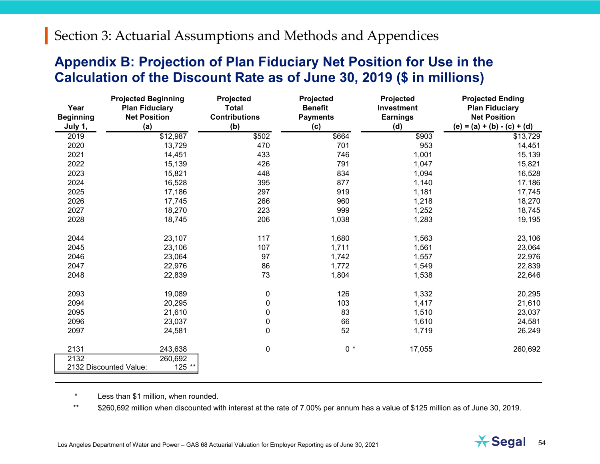#### <span id="page-53-0"></span>**Appendix B: Projection of Plan Fiduciary Net Position for Use in the Calculation of the Discount Rate as of June 30, 2019 (\$ in millions)**

| Year<br><b>Beginning</b><br>July 1, | <b>Projected Beginning</b><br><b>Plan Fiduciary</b><br><b>Net Position</b><br>(a) | Projected<br><b>Total</b><br><b>Contributions</b><br>(b) | Projected<br><b>Benefit</b><br><b>Payments</b><br>(c) | Projected<br>Investment<br><b>Earnings</b><br>(d) | <b>Projected Ending</b><br><b>Plan Fiduciary</b><br><b>Net Position</b><br>$(e) = (a) + (b) - (c) + (d)$ |
|-------------------------------------|-----------------------------------------------------------------------------------|----------------------------------------------------------|-------------------------------------------------------|---------------------------------------------------|----------------------------------------------------------------------------------------------------------|
| 2019                                | \$12,987                                                                          | \$502                                                    | \$664                                                 | \$903                                             | \$13,729                                                                                                 |
| 2020                                | 13,729                                                                            | 470                                                      | 701                                                   | 953                                               | 14,451                                                                                                   |
| 2021                                | 14,451                                                                            | 433                                                      | 746                                                   | 1,001                                             | 15,139                                                                                                   |
| 2022                                | 15,139                                                                            | 426                                                      | 791                                                   | 1,047                                             | 15,821                                                                                                   |
| 2023                                | 15,821                                                                            | 448                                                      | 834                                                   | 1,094                                             | 16,528                                                                                                   |
| 2024                                | 16,528                                                                            | 395                                                      | 877                                                   | 1,140                                             | 17,186                                                                                                   |
| 2025                                | 17,186                                                                            | 297                                                      | 919                                                   | 1,181                                             | 17,745                                                                                                   |
| 2026                                | 17,745                                                                            | 266                                                      | 960                                                   | 1,218                                             | 18,270                                                                                                   |
| 2027                                | 18,270                                                                            | 223                                                      | 999                                                   | 1,252                                             | 18,745                                                                                                   |
| 2028                                | 18,745                                                                            | 206                                                      | 1,038                                                 | 1,283                                             | 19,195                                                                                                   |
| 2044                                | 23,107                                                                            | 117                                                      | 1,680                                                 | 1,563                                             | 23,106                                                                                                   |
| 2045                                | 23,106                                                                            | 107                                                      | 1,711                                                 | 1,561                                             | 23,064                                                                                                   |
| 2046                                | 23,064                                                                            | 97                                                       | 1,742                                                 | 1,557                                             | 22,976                                                                                                   |
| 2047                                | 22,976                                                                            | 86                                                       | 1,772                                                 | 1,549                                             | 22,839                                                                                                   |
| 2048                                | 22,839                                                                            | 73                                                       | 1,804                                                 | 1,538                                             | 22,646                                                                                                   |
| 2093                                | 19,089                                                                            | 0                                                        | 126                                                   | 1,332                                             | 20,295                                                                                                   |
| 2094                                | 20,295                                                                            | 0                                                        | 103                                                   | 1,417                                             | 21,610                                                                                                   |
| 2095                                | 21,610                                                                            | 0                                                        | 83                                                    | 1,510                                             | 23,037                                                                                                   |
| 2096                                | 23,037                                                                            | $\pmb{0}$                                                | 66                                                    | 1,610                                             | 24,581                                                                                                   |
| 2097                                | 24,581                                                                            | $\mathbf 0$                                              | 52                                                    | 1,719                                             | 26,249                                                                                                   |
| 2131                                | 243,638                                                                           | $\pmb{0}$                                                | $0 *$                                                 | 17,055                                            | 260,692                                                                                                  |
| 2132                                | 260,692<br>2132 Discounted Value:<br>125 **                                       |                                                          |                                                       |                                                   |                                                                                                          |

\* Less than \$1 million, when rounded.

\*\* \$260,692 million when discounted with interest at the rate of 7.00% per annum has a value of \$125 million as of June 30, 2019.

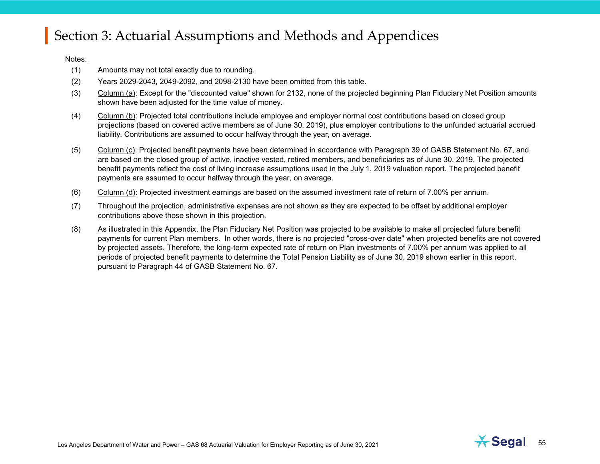#### Notes:

- (1) Amounts may not total exactly due to rounding.
- (2) Years 2029-2043, 2049-2092, and 2098-2130 have been omitted from this table.
- (3) Column (a): Except for the "discounted value" shown for 2132, none of the projected beginning Plan Fiduciary Net Position amounts shown have been adjusted for the time value of money.
- (4) Column (b): Projected total contributions include employee and employer normal cost contributions based on closed group projections (based on covered active members as of June 30, 2019), plus employer contributions to the unfunded actuarial accrued liability. Contributions are assumed to occur halfway through the year, on average.
- (5) Column (c): Projected benefit payments have been determined in accordance with Paragraph 39 of GASB Statement No. 67, and are based on the closed group of active, inactive vested, retired members, and beneficiaries as of June 30, 2019. The projected benefit payments reflect the cost of living increase assumptions used in the July 1, 2019 valuation report. The projected benefit payments are assumed to occur halfway through the year, on average.
- (6) Column (d): Projected investment earnings are based on the assumed investment rate of return of 7.00% per annum.
- (7) Throughout the projection, administrative expenses are not shown as they are expected to be offset by additional employer contributions above those shown in this projection.
- (8) As illustrated in this Appendix, the Plan Fiduciary Net Position was projected to be available to make all projected future benefit payments for current Plan members. In other words, there is no projected "cross-over date" when projected benefits are not covered by projected assets. Therefore, the long-term expected rate of return on Plan investments of 7.00% per annum was applied to all periods of projected benefit payments to determine the Total Pension Liability as of June 30, 2019 shown earlier in this report, pursuant to Paragraph 44 of GASB Statement No. 67.

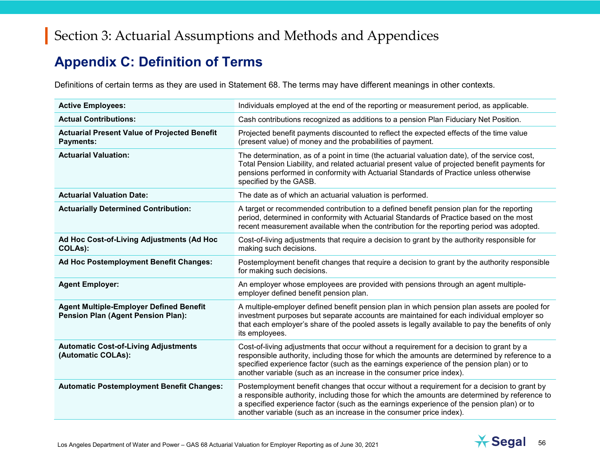#### <span id="page-55-0"></span>**Appendix C: Definition of Terms**

Definitions of certain terms as they are used in Statement 68. The terms may have different meanings in other contexts.

| <b>Active Employees:</b>                                                                    | Individuals employed at the end of the reporting or measurement period, as applicable.                                                                                                                                                                                                                                                                          |
|---------------------------------------------------------------------------------------------|-----------------------------------------------------------------------------------------------------------------------------------------------------------------------------------------------------------------------------------------------------------------------------------------------------------------------------------------------------------------|
| <b>Actual Contributions:</b>                                                                | Cash contributions recognized as additions to a pension Plan Fiduciary Net Position.                                                                                                                                                                                                                                                                            |
| <b>Actuarial Present Value of Projected Benefit</b><br><b>Payments:</b>                     | Projected benefit payments discounted to reflect the expected effects of the time value<br>(present value) of money and the probabilities of payment.                                                                                                                                                                                                           |
| <b>Actuarial Valuation:</b>                                                                 | The determination, as of a point in time (the actuarial valuation date), of the service cost,<br>Total Pension Liability, and related actuarial present value of projected benefit payments for<br>pensions performed in conformity with Actuarial Standards of Practice unless otherwise<br>specified by the GASB.                                             |
| <b>Actuarial Valuation Date:</b>                                                            | The date as of which an actuarial valuation is performed.                                                                                                                                                                                                                                                                                                       |
| <b>Actuarially Determined Contribution:</b>                                                 | A target or recommended contribution to a defined benefit pension plan for the reporting<br>period, determined in conformity with Actuarial Standards of Practice based on the most<br>recent measurement available when the contribution for the reporting period was adopted.                                                                                 |
| Ad Hoc Cost-of-Living Adjustments (Ad Hoc<br><b>COLAs):</b>                                 | Cost-of-living adjustments that require a decision to grant by the authority responsible for<br>making such decisions.                                                                                                                                                                                                                                          |
| Ad Hoc Postemployment Benefit Changes:                                                      | Postemployment benefit changes that require a decision to grant by the authority responsible<br>for making such decisions.                                                                                                                                                                                                                                      |
| <b>Agent Employer:</b>                                                                      | An employer whose employees are provided with pensions through an agent multiple-<br>employer defined benefit pension plan.                                                                                                                                                                                                                                     |
| <b>Agent Multiple-Employer Defined Benefit</b><br><b>Pension Plan (Agent Pension Plan):</b> | A multiple-employer defined benefit pension plan in which pension plan assets are pooled for<br>investment purposes but separate accounts are maintained for each individual employer so<br>that each employer's share of the pooled assets is legally available to pay the benefits of only<br>its employees.                                                  |
| <b>Automatic Cost-of-Living Adjustments</b><br>(Automatic COLAs):                           | Cost-of-living adjustments that occur without a requirement for a decision to grant by a<br>responsible authority, including those for which the amounts are determined by reference to a<br>specified experience factor (such as the earnings experience of the pension plan) or to<br>another variable (such as an increase in the consumer price index).     |
| <b>Automatic Postemployment Benefit Changes:</b>                                            | Postemployment benefit changes that occur without a requirement for a decision to grant by<br>a responsible authority, including those for which the amounts are determined by reference to<br>a specified experience factor (such as the earnings experience of the pension plan) or to<br>another variable (such as an increase in the consumer price index). |

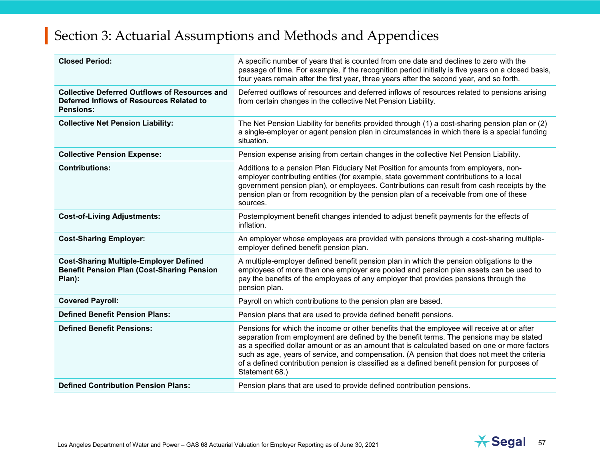| <b>Closed Period:</b>                                                                                                | A specific number of years that is counted from one date and declines to zero with the<br>passage of time. For example, if the recognition period initially is five years on a closed basis,<br>four years remain after the first year, three years after the second year, and so forth.                                                                                                                                                                                                               |
|----------------------------------------------------------------------------------------------------------------------|--------------------------------------------------------------------------------------------------------------------------------------------------------------------------------------------------------------------------------------------------------------------------------------------------------------------------------------------------------------------------------------------------------------------------------------------------------------------------------------------------------|
| <b>Collective Deferred Outflows of Resources and</b><br>Deferred Inflows of Resources Related to<br><b>Pensions:</b> | Deferred outflows of resources and deferred inflows of resources related to pensions arising<br>from certain changes in the collective Net Pension Liability.                                                                                                                                                                                                                                                                                                                                          |
| <b>Collective Net Pension Liability:</b>                                                                             | The Net Pension Liability for benefits provided through (1) a cost-sharing pension plan or (2)<br>a single-employer or agent pension plan in circumstances in which there is a special funding<br>situation.                                                                                                                                                                                                                                                                                           |
| <b>Collective Pension Expense:</b>                                                                                   | Pension expense arising from certain changes in the collective Net Pension Liability.                                                                                                                                                                                                                                                                                                                                                                                                                  |
| <b>Contributions:</b>                                                                                                | Additions to a pension Plan Fiduciary Net Position for amounts from employers, non-<br>employer contributing entities (for example, state government contributions to a local<br>government pension plan), or employees. Contributions can result from cash receipts by the<br>pension plan or from recognition by the pension plan of a receivable from one of these<br>sources.                                                                                                                      |
| <b>Cost-of-Living Adjustments:</b>                                                                                   | Postemployment benefit changes intended to adjust benefit payments for the effects of<br>inflation.                                                                                                                                                                                                                                                                                                                                                                                                    |
| <b>Cost-Sharing Employer:</b>                                                                                        | An employer whose employees are provided with pensions through a cost-sharing multiple-<br>employer defined benefit pension plan.                                                                                                                                                                                                                                                                                                                                                                      |
| <b>Cost-Sharing Multiple-Employer Defined</b><br><b>Benefit Pension Plan (Cost-Sharing Pension</b><br>Plan):         | A multiple-employer defined benefit pension plan in which the pension obligations to the<br>employees of more than one employer are pooled and pension plan assets can be used to<br>pay the benefits of the employees of any employer that provides pensions through the<br>pension plan.                                                                                                                                                                                                             |
| <b>Covered Payroll:</b>                                                                                              | Payroll on which contributions to the pension plan are based.                                                                                                                                                                                                                                                                                                                                                                                                                                          |
| <b>Defined Benefit Pension Plans:</b>                                                                                | Pension plans that are used to provide defined benefit pensions.                                                                                                                                                                                                                                                                                                                                                                                                                                       |
| <b>Defined Benefit Pensions:</b>                                                                                     | Pensions for which the income or other benefits that the employee will receive at or after<br>separation from employment are defined by the benefit terms. The pensions may be stated<br>as a specified dollar amount or as an amount that is calculated based on one or more factors<br>such as age, years of service, and compensation. (A pension that does not meet the criteria<br>of a defined contribution pension is classified as a defined benefit pension for purposes of<br>Statement 68.) |
| <b>Defined Contribution Pension Plans:</b>                                                                           | Pension plans that are used to provide defined contribution pensions.                                                                                                                                                                                                                                                                                                                                                                                                                                  |

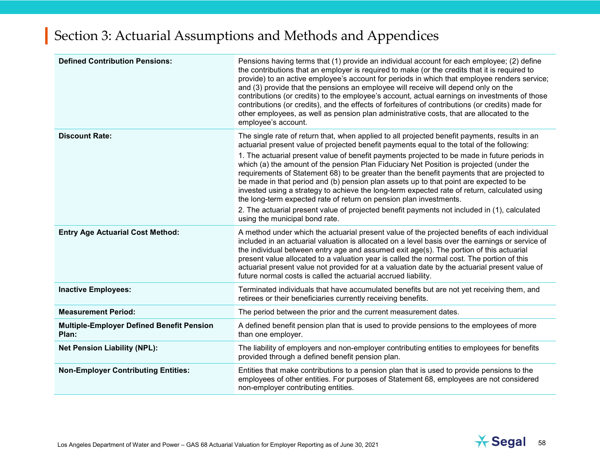| <b>Defined Contribution Pensions:</b>                     | Pensions having terms that (1) provide an individual account for each employee; (2) define<br>the contributions that an employer is required to make (or the credits that it is required to<br>provide) to an active employee's account for periods in which that employee renders service;<br>and (3) provide that the pensions an employee will receive will depend only on the<br>contributions (or credits) to the employee's account, actual earnings on investments of those<br>contributions (or credits), and the effects of forfeitures of contributions (or credits) made for<br>other employees, as well as pension plan administrative costs, that are allocated to the<br>employee's account. |
|-----------------------------------------------------------|------------------------------------------------------------------------------------------------------------------------------------------------------------------------------------------------------------------------------------------------------------------------------------------------------------------------------------------------------------------------------------------------------------------------------------------------------------------------------------------------------------------------------------------------------------------------------------------------------------------------------------------------------------------------------------------------------------|
| <b>Discount Rate:</b>                                     | The single rate of return that, when applied to all projected benefit payments, results in an<br>actuarial present value of projected benefit payments equal to the total of the following:                                                                                                                                                                                                                                                                                                                                                                                                                                                                                                                |
|                                                           | 1. The actuarial present value of benefit payments projected to be made in future periods in<br>which (a) the amount of the pension Plan Fiduciary Net Position is projected (under the<br>requirements of Statement 68) to be greater than the benefit payments that are projected to<br>be made in that period and (b) pension plan assets up to that point are expected to be<br>invested using a strategy to achieve the long-term expected rate of return, calculated using<br>the long-term expected rate of return on pension plan investments.                                                                                                                                                     |
|                                                           | 2. The actuarial present value of projected benefit payments not included in (1), calculated<br>using the municipal bond rate.                                                                                                                                                                                                                                                                                                                                                                                                                                                                                                                                                                             |
| <b>Entry Age Actuarial Cost Method:</b>                   | A method under which the actuarial present value of the projected benefits of each individual<br>included in an actuarial valuation is allocated on a level basis over the earnings or service of<br>the individual between entry age and assumed exit age(s). The portion of this actuarial<br>present value allocated to a valuation year is called the normal cost. The portion of this<br>actuarial present value not provided for at a valuation date by the actuarial present value of<br>future normal costs is called the actuarial accrued liability.                                                                                                                                             |
| <b>Inactive Employees:</b>                                | Terminated individuals that have accumulated benefits but are not yet receiving them, and<br>retirees or their beneficiaries currently receiving benefits.                                                                                                                                                                                                                                                                                                                                                                                                                                                                                                                                                 |
| <b>Measurement Period:</b>                                | The period between the prior and the current measurement dates.                                                                                                                                                                                                                                                                                                                                                                                                                                                                                                                                                                                                                                            |
| <b>Multiple-Employer Defined Benefit Pension</b><br>Plan: | A defined benefit pension plan that is used to provide pensions to the employees of more<br>than one employer.                                                                                                                                                                                                                                                                                                                                                                                                                                                                                                                                                                                             |
| <b>Net Pension Liability (NPL):</b>                       | The liability of employers and non-employer contributing entities to employees for benefits<br>provided through a defined benefit pension plan.                                                                                                                                                                                                                                                                                                                                                                                                                                                                                                                                                            |
| <b>Non-Employer Contributing Entities:</b>                | Entities that make contributions to a pension plan that is used to provide pensions to the<br>employees of other entities. For purposes of Statement 68, employees are not considered<br>non-employer contributing entities.                                                                                                                                                                                                                                                                                                                                                                                                                                                                               |

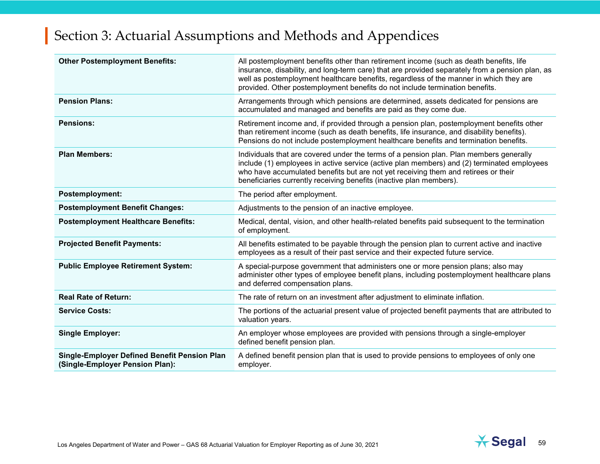| <b>Other Postemployment Benefits:</b>                                           | All postemployment benefits other than retirement income (such as death benefits, life<br>insurance, disability, and long-term care) that are provided separately from a pension plan, as<br>well as postemployment healthcare benefits, regardless of the manner in which they are<br>provided. Other postemployment benefits do not include termination benefits. |
|---------------------------------------------------------------------------------|---------------------------------------------------------------------------------------------------------------------------------------------------------------------------------------------------------------------------------------------------------------------------------------------------------------------------------------------------------------------|
| <b>Pension Plans:</b>                                                           | Arrangements through which pensions are determined, assets dedicated for pensions are<br>accumulated and managed and benefits are paid as they come due.                                                                                                                                                                                                            |
| <b>Pensions:</b>                                                                | Retirement income and, if provided through a pension plan, postemployment benefits other<br>than retirement income (such as death benefits, life insurance, and disability benefits).<br>Pensions do not include postemployment healthcare benefits and termination benefits.                                                                                       |
| <b>Plan Members:</b>                                                            | Individuals that are covered under the terms of a pension plan. Plan members generally<br>include (1) employees in active service (active plan members) and (2) terminated employees<br>who have accumulated benefits but are not yet receiving them and retirees or their<br>beneficiaries currently receiving benefits (inactive plan members).                   |
| <b>Postemployment:</b>                                                          | The period after employment.                                                                                                                                                                                                                                                                                                                                        |
| <b>Postemployment Benefit Changes:</b>                                          | Adjustments to the pension of an inactive employee.                                                                                                                                                                                                                                                                                                                 |
| <b>Postemployment Healthcare Benefits:</b>                                      | Medical, dental, vision, and other health-related benefits paid subsequent to the termination<br>of employment.                                                                                                                                                                                                                                                     |
| <b>Projected Benefit Payments:</b>                                              | All benefits estimated to be payable through the pension plan to current active and inactive<br>employees as a result of their past service and their expected future service.                                                                                                                                                                                      |
| <b>Public Employee Retirement System:</b>                                       | A special-purpose government that administers one or more pension plans; also may<br>administer other types of employee benefit plans, including postemployment healthcare plans<br>and deferred compensation plans.                                                                                                                                                |
| <b>Real Rate of Return:</b>                                                     | The rate of return on an investment after adjustment to eliminate inflation.                                                                                                                                                                                                                                                                                        |
| <b>Service Costs:</b>                                                           | The portions of the actuarial present value of projected benefit payments that are attributed to<br>valuation years.                                                                                                                                                                                                                                                |
| <b>Single Employer:</b>                                                         | An employer whose employees are provided with pensions through a single-employer<br>defined benefit pension plan.                                                                                                                                                                                                                                                   |
| Single-Employer Defined Benefit Pension Plan<br>(Single-Employer Pension Plan): | A defined benefit pension plan that is used to provide pensions to employees of only one<br>employer.                                                                                                                                                                                                                                                               |